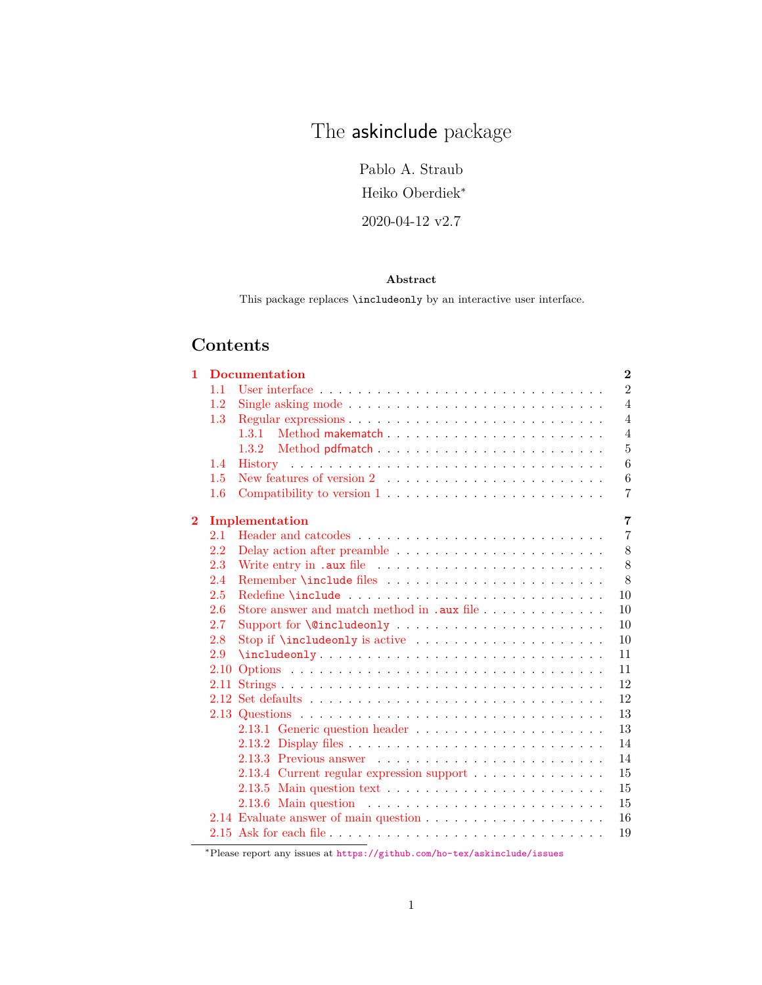# The **askinclude** package

Pablo A. Straub

Heiko Oberdiek<sup>∗</sup>

2020-04-12 v2.7

#### **Abstract**

This package replaces  $\mathcal{L}$  include<br>only by an interactive user interface.

## **Contents**

| $\mathbf{1}$   |         | <b>Documentation</b>                                                                   | $\bf{2}$       |
|----------------|---------|----------------------------------------------------------------------------------------|----------------|
|                | 1.1     | User interface $\ldots \ldots \ldots \ldots \ldots \ldots \ldots \ldots \ldots \ldots$ | $\overline{2}$ |
|                | 1.2     |                                                                                        | $\overline{4}$ |
|                | 1.3     |                                                                                        | $\overline{4}$ |
|                |         | 1.3.1                                                                                  | $\overline{4}$ |
|                |         |                                                                                        | $\overline{5}$ |
|                | 1.4     |                                                                                        | 6              |
|                | 1.5     | New features of version $2 \dots \dots \dots \dots \dots \dots \dots \dots$            | 6              |
|                | $1.6\,$ | Compatibility to version $1, \ldots, \ldots, \ldots, \ldots, \ldots, \ldots$           | $\overline{7}$ |
| $\overline{2}$ |         | Implementation                                                                         | $\overline{7}$ |
|                | 2.1     |                                                                                        | $\overline{7}$ |
|                | 2.2     |                                                                                        | 8              |
|                | 2.3     | Write entry in .aux file                                                               | 8              |
|                | 2.4     |                                                                                        | 8              |
|                | 2.5     |                                                                                        | 10             |
|                | 2.6     |                                                                                        | 10             |
|                | 2.7     |                                                                                        | 10             |
|                | 2.8     |                                                                                        | 10             |
|                | 2.9     |                                                                                        | 11             |
|                | 2.10    |                                                                                        | 11             |
|                |         |                                                                                        | 12             |
|                |         |                                                                                        | 12             |
|                |         |                                                                                        | 13             |
|                |         |                                                                                        | 13             |
|                |         |                                                                                        | 14             |
|                |         |                                                                                        | 14             |
|                |         | 2.13.4 Current regular expression support                                              | 15             |
|                |         |                                                                                        | 15             |
|                |         | 2.13.6 Main question $\ldots \ldots \ldots \ldots \ldots \ldots \ldots \ldots$         | 15             |
|                |         |                                                                                        | 16             |
|                |         | the contract of the contract of the                                                    | 19             |

<sup>∗</sup>Please report any issues at <https://github.com/ho-tex/askinclude/issues>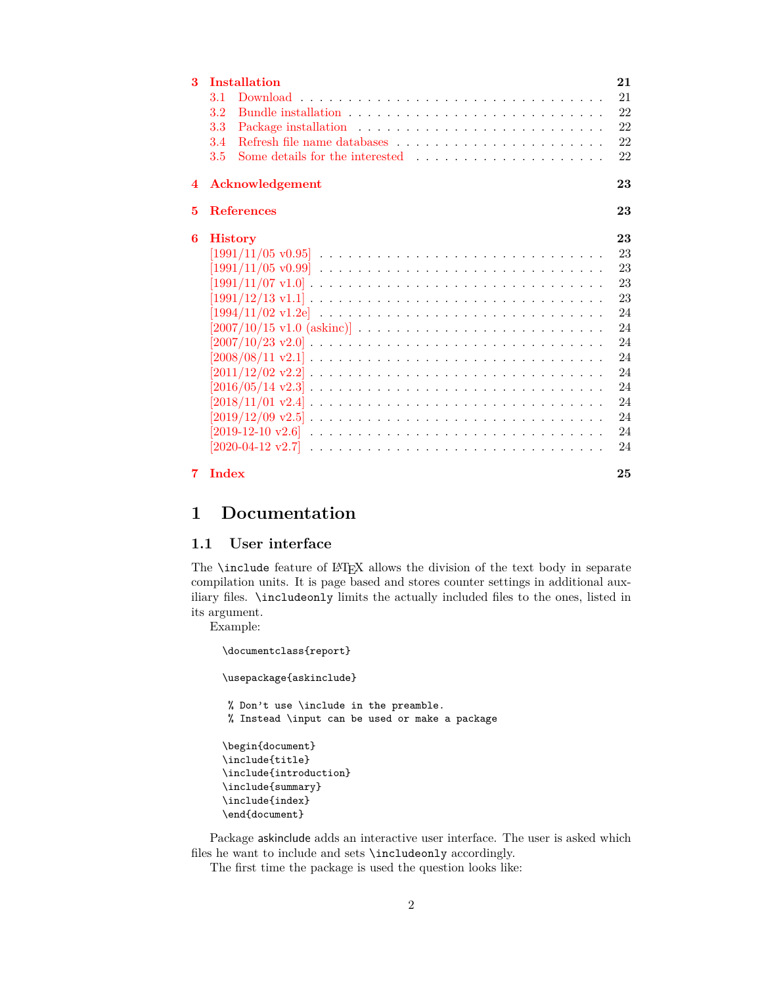| 3              | <b>Installation</b>                                                                                             | 21 |
|----------------|-----------------------------------------------------------------------------------------------------------------|----|
|                | 3.1                                                                                                             | 21 |
|                | $3.2\,$                                                                                                         | 22 |
|                | 3.3                                                                                                             | 22 |
|                | 3.4                                                                                                             | 22 |
|                | 3.5<br>Some details for the interested $\ldots$ , $\ldots$ , $\ldots$ , $\ldots$ , $\ldots$                     | 22 |
| $\overline{4}$ | Acknowledgement                                                                                                 | 23 |
| 5              | <b>References</b>                                                                                               | 23 |
| 6              | <b>History</b>                                                                                                  | 23 |
|                | $[1991/11/05 \text{ v}0.95]$                                                                                    | 23 |
|                | $[1991/11/05 \text{ v}0.99]$                                                                                    | 23 |
|                | $[1991/11/07 \text{ v}1.0] \ldots \ldots \ldots \ldots \ldots \ldots \ldots \ldots \ldots \ldots \ldots$        | 23 |
|                | $[1991/12/13 \text{ v}1.1] \ldots \ldots \ldots \ldots \ldots \ldots \ldots \ldots \ldots \ldots \ldots$        | 23 |
|                |                                                                                                                 | 24 |
|                |                                                                                                                 | 24 |
|                | $[2007/10/23 \text{ v}2.0] \ldots \ldots \ldots \ldots \ldots \ldots \ldots \ldots \ldots \ldots \ldots$        | 24 |
|                | $[2008/08/11 \text{ v}2.1] \ldots \ldots \ldots \ldots \ldots \ldots \ldots \ldots \ldots \ldots \ldots$        | 24 |
|                | $[2011/12/02 \text{ v}2.2] \ldots \ldots \ldots \ldots \ldots \ldots \ldots \ldots \ldots \ldots \ldots \ldots$ | 24 |
|                |                                                                                                                 | 24 |
|                |                                                                                                                 | 24 |
|                | $[2019/12/09 \text{ v}2.5] \ldots \ldots \ldots \ldots \ldots \ldots \ldots \ldots \ldots \ldots \ldots$        | 24 |
|                | $[2019-12-10 \,\,{\rm v}2.6]$                                                                                   | 24 |
|                |                                                                                                                 | 24 |
| 7              | <b>Index</b>                                                                                                    | 25 |

## <span id="page-1-0"></span>**1 Documentation**

### <span id="page-1-1"></span>**1.1 User interface**

The **\include** feature of LATEX allows the division of the text body in separate compilation units. It is page based and stores counter settings in additional auxiliary files. \includeonly limits the actually included files to the ones, listed in its argument.

Example:

```
\documentclass{report}
\usepackage{askinclude}
% Don't use \include in the preamble.
% Instead \input can be used or make a package
\begin{document}
\include{title}
\include{introduction}
\include{summary}
\include{index}
\end{document}
```
Package askinclude adds an interactive user interface. The user is asked which files he want to include and sets \includeonly accordingly.

The first time the package is used the question looks like: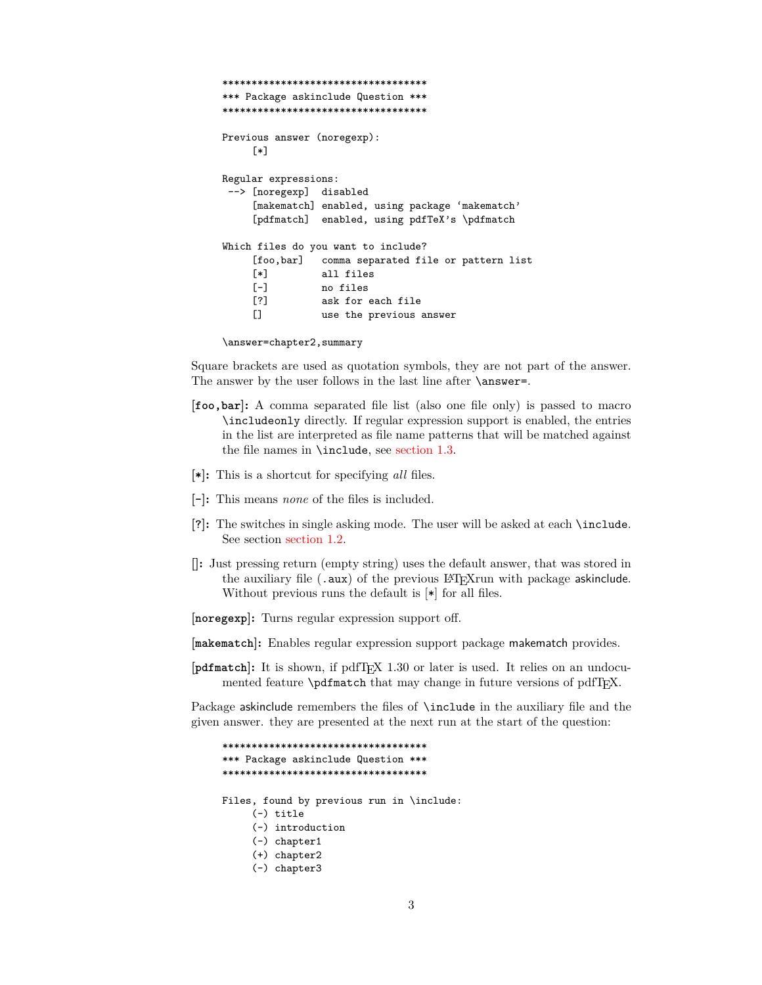```
***********************************
*** Package askinclude Question ***
***********************************
Previous answer (noregexp):
     [*]
Regular expressions:
 --> [noregexp] disabled
     [makematch] enabled, using package 'makematch'
     [pdfmatch] enabled, using pdfTeX's \pdfmatch
Which files do you want to include?
     [foo,bar] comma separated file or pattern list
     [*] all files<br>[-] no files
                no files
     [?] ask for each file
     [] use the previous answer
```
\answer=chapter2,summary

Square brackets are used as quotation symbols, they are not part of the answer. The answer by the user follows in the last line after **\answer=**.

- **[foo,bar]:** A comma separated file list (also one file only) is passed to macro \includeonly directly. If regular expression support is enabled, the entries in the list are interpreted as file name patterns that will be matched against the file names in \include, see [section 1.3.](#page-3-1)
- **[\*]:** This is a shortcut for specifying *all* files.
- **[-]:** This means *none* of the files is included.
- **[?]:** The switches in single asking mode. The user will be asked at each \include. See section [section 1.2.](#page-3-0)
- **[]:** Just pressing return (empty string) uses the default answer, that was stored in the auxiliary file  $(.aux)$  of the previous LAT<sub>E</sub>Xrun with package askinclude. Without previous runs the default is [\*] for all files.
- **[noregexp]:** Turns regular expression support off.
- **[makematch]:** Enables regular expression support package makematch provides.
- **[pdfmatch]:** It is shown, if pdfTEX 1.30 or later is used. It relies on an undocumented feature \pdfmatch that may change in future versions of pdfT<sub>F</sub>X.

Package askinclude remembers the files of \include in the auxiliary file and the given answer. they are presented at the next run at the start of the question:

```
***********************************
*** Package askinclude Question ***
***********************************
Files, found by previous run in \include:
     (-) title
     (-) introduction
     (-) chapter1
     (+) chapter2
     (-) chapter3
```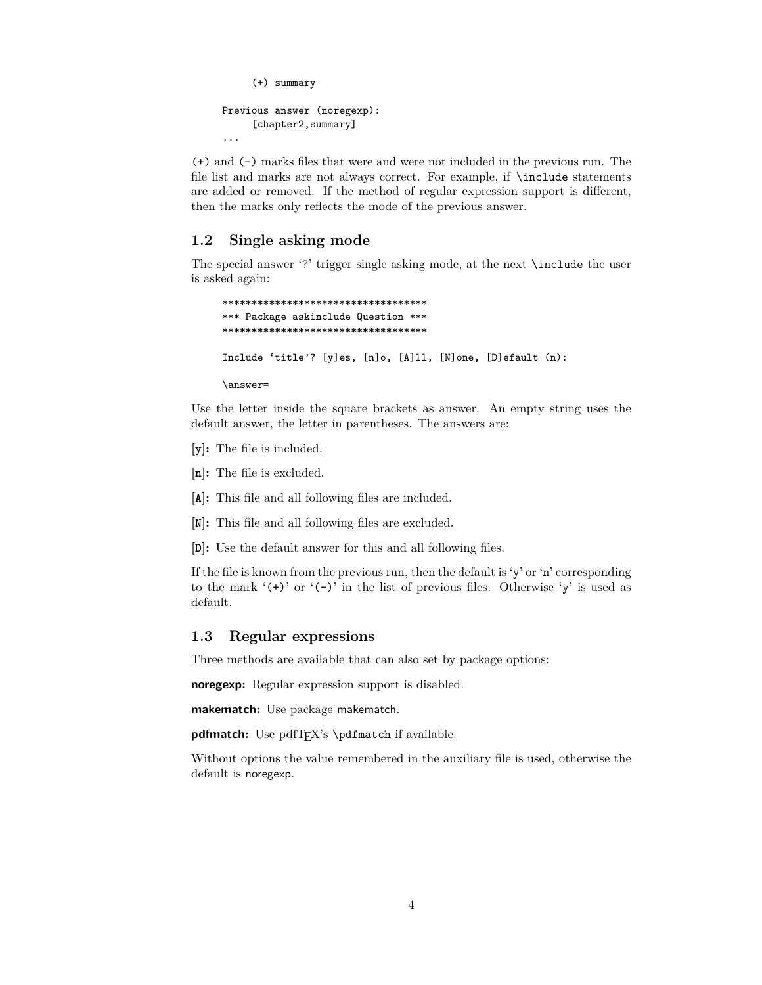```
(+) summary
Previous answer (noregexp):
     [chapter2, summary]
...
```
(+) and (-) marks files that were and were not included in the previous run. The file list and marks are not always correct. For example, if \include statements are added or removed. If the method of regular expression support is different, then the marks only reflects the mode of the previous answer.

#### <span id="page-3-0"></span>**1.2 Single asking mode**

The special answer '?' trigger single asking mode, at the next \include the user is asked again:

```
***********************************
*** Package askinclude Question ***
***********************************
Include 'title'? [y]es, [n]o, [A]ll, [N]one, [D]efault (n):
```
\answer=

Use the letter inside the square brackets as answer. An empty string uses the default answer, the letter in parentheses. The answers are:

- **[y]:** The file is included.
- **[n]:** The file is excluded.
- **[A]:** This file and all following files are included.
- **[N]:** This file and all following files are excluded.
- **[D]:** Use the default answer for this and all following files.

If the file is known from the previous run, then the default is 'y' or 'n' corresponding to the mark  $'(+)$  or  $'(-)$  in the list of previous files. Otherwise  $'y$  is used as default.

#### <span id="page-3-1"></span>**1.3 Regular expressions**

Three methods are available that can also set by package options:

**noregexp:** Regular expression support is disabled.

**makematch:** Use package makematch.

pdfmatch: Use pdfT<sub>EX</sub>'s \pdfmatch if available.

Without options the value remembered in the auxiliary file is used, otherwise the default is noregexp.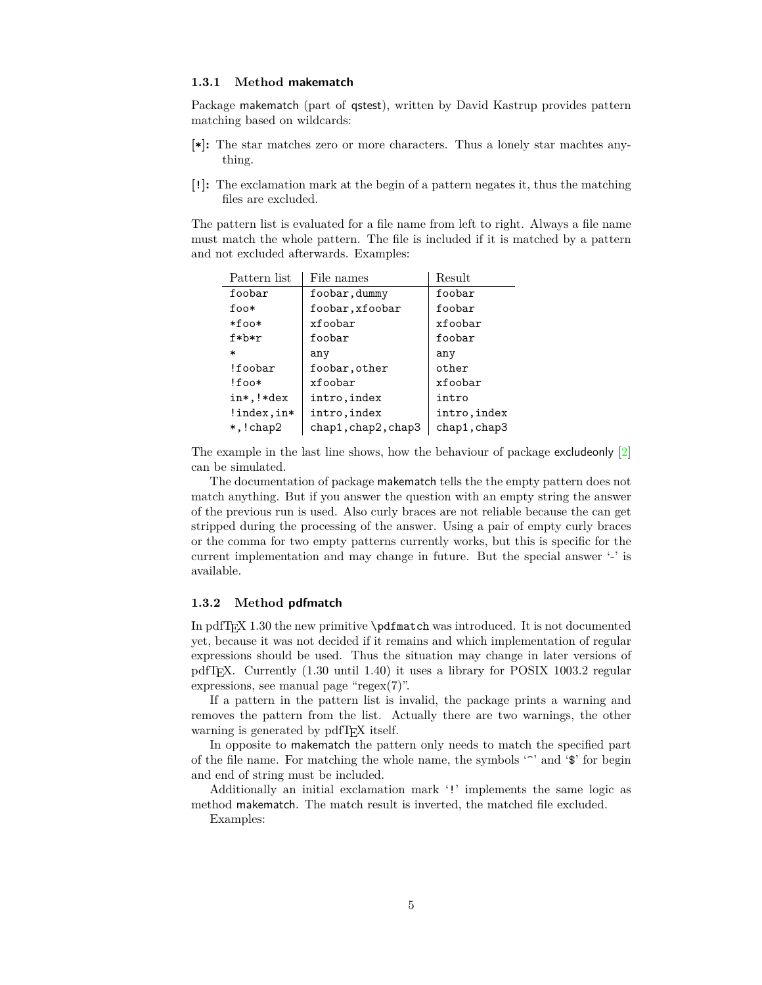#### <span id="page-4-0"></span>**1.3.1 Method makematch**

Package makematch (part of qstest), written by David Kastrup provides pattern matching based on wildcards:

- **[\*]:** The star matches zero or more characters. Thus a lonely star machtes anything.
- **[!]:** The exclamation mark at the begin of a pattern negates it, thus the matching files are excluded.

The pattern list is evaluated for a file name from left to right. Always a file name must match the whole pattern. The file is included if it is matched by a pattern and not excluded afterwards. Examples:

| Pattern list | File names          | Result       |
|--------------|---------------------|--------------|
| foobar       | foobar, dummy       | foobar       |
| foo*         | foobar, xfoobar     | foobar       |
| *foo*        | xfoobar             | xfoobar      |
| $f * b * r$  | foobar              | foobar       |
| $\ast$       | any                 | any          |
| !foobar      | foobar, other       | other        |
| $!$ foo $*$  | xfoobar             | xfoobar      |
| in*, !*dex   | intro, index        | intro        |
| !index, in*  | intro, index        | intro, index |
| $*,!$ chap2  | chap1, chap2, chap3 | chap1, chap3 |

The example in the last line shows, how the behaviour of package excludeonly [\[2\]](#page-22-7) can be simulated.

The documentation of package makematch tells the the empty pattern does not match anything. But if you answer the question with an empty string the answer of the previous run is used. Also curly braces are not reliable because the can get stripped during the processing of the answer. Using a pair of empty curly braces or the comma for two empty patterns currently works, but this is specific for the current implementation and may change in future. But the special answer '-' is available.

#### <span id="page-4-1"></span>**1.3.2 Method pdfmatch**

In pdfT<sub>E</sub>X 1.30 the new primitive  $\alpha$  b  $\alpha$  and  $\alpha$  and  $\alpha$ . It is not documented yet, because it was not decided if it remains and which implementation of regular expressions should be used. Thus the situation may change in later versions of pdfTEX. Currently (1.30 until 1.40) it uses a library for POSIX 1003.2 regular expressions, see manual page "regex $(7)$ ".

If a pattern in the pattern list is invalid, the package prints a warning and removes the pattern from the list. Actually there are two warnings, the other warning is generated by pdfT<sub>E</sub>X itself.

In opposite to makematch the pattern only needs to match the specified part of the file name. For matching the whole name, the symbols  $\langle \cdot \rangle$  and  $\langle \cdot \rangle$  for begin and end of string must be included.

Additionally an initial exclamation mark '!' implements the same logic as method makematch. The match result is inverted, the matched file excluded.

Examples: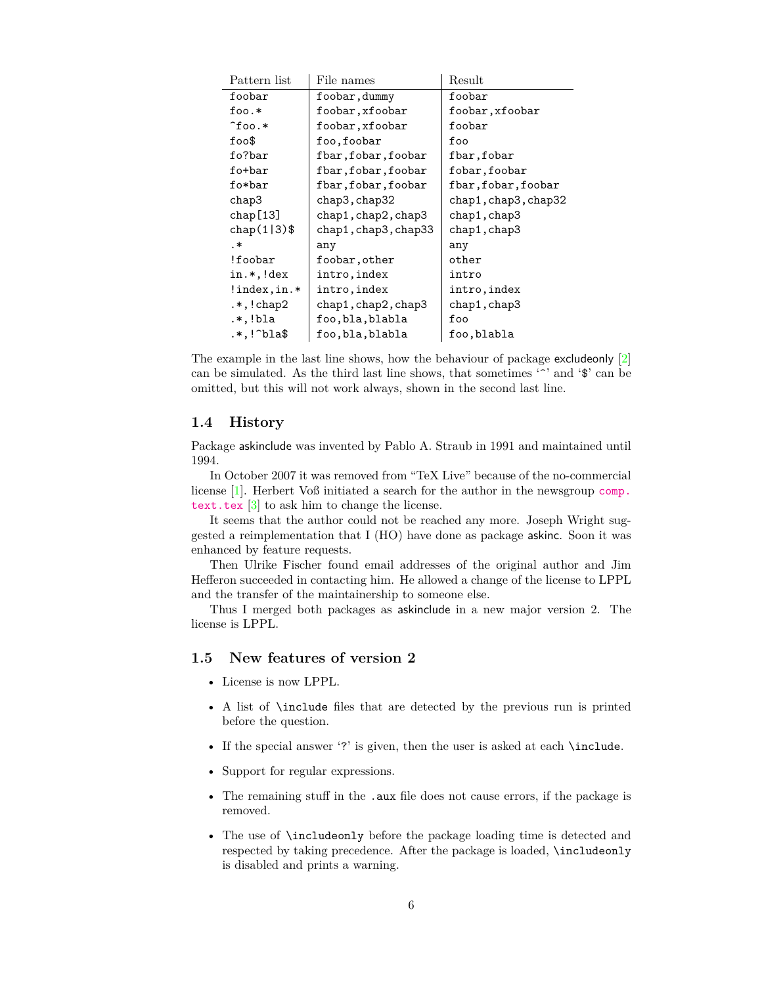| Pattern list        | File names           | ${\rm Result}$       |
|---------------------|----------------------|----------------------|
| foobar              | foobar, dummy        | foobar               |
| $foo.*$             | foobar, xfoobar      | foobar, xfoobar      |
| $\hat{}$ foo.*      | foobar, xfoobar      | foobar               |
| $f$ oo $\$$         | foo,foobar           | foo                  |
| fo?bar              | fbar, fobar, foobar  | fbar, fobar          |
| fo+bar              | fbar, fobar, foobar  | fobar, foobar        |
| fo*bar              | fbar,fobar,foobar    | fbar,fobar,foobar    |
| chap3               | chap3, chap32        | chap1, chap3, chap32 |
| chap[13]            | chap1, chap2, chap3  | chap1,chap3          |
| chap $(1 3)$ \$     | chap1, chap3, chap33 | chap1, chap3         |
| .∗                  | any                  | any                  |
| !foobar             | foobar, other        | other                |
| in.*,!dex           | intro, index         | intro                |
| !index, in.*        | intro, index         | intro, index         |
| $.*$ , $!$ chap $2$ | chap1, chap2, chap3  | chap1, chap3         |
| .*,!bla             | foo,bla,blabla       | foo                  |
| .*,!^bla\$          | foo,bla,blabla       | foo,blabla           |

The example in the last line shows, how the behaviour of package excludeonly [\[2\]](#page-22-7) can be simulated. As the third last line shows, that sometimes  $\sim$  and  $\circ$  can be omitted, but this will not work always, shown in the second last line.

#### <span id="page-5-0"></span>**1.4 History**

Package askinclude was invented by Pablo A. Straub in 1991 and maintained until 1994.

In October 2007 it was removed from "TeX Live" because of the no-commercial license [\[1\]](#page-22-8). Herbert Voß initiated a search for the author in the newsgroup [comp.](news:comp.text.tex) [text.tex](news:comp.text.tex) [\[3\]](#page-22-9) to ask him to change the license.

It seems that the author could not be reached any more. Joseph Wright suggested a reimplementation that I (HO) have done as package askinc. Soon it was enhanced by feature requests.

Then Ulrike Fischer found email addresses of the original author and Jim Hefferon succeeded in contacting him. He allowed a change of the license to LPPL and the transfer of the maintainership to someone else.

Thus I merged both packages as askinclude in a new major version 2. The license is LPPL.

## <span id="page-5-1"></span>**1.5 New features of version 2**

- License is now LPPL.
- A list of \include files that are detected by the previous run is printed before the question.
- If the special answer '?' is given, then the user is asked at each \include.
- Support for regular expressions.
- The remaining stuff in the .aux file does not cause errors, if the package is removed.
- The use of \includeonly before the package loading time is detected and respected by taking precedence. After the package is loaded, \includeonly is disabled and prints a warning.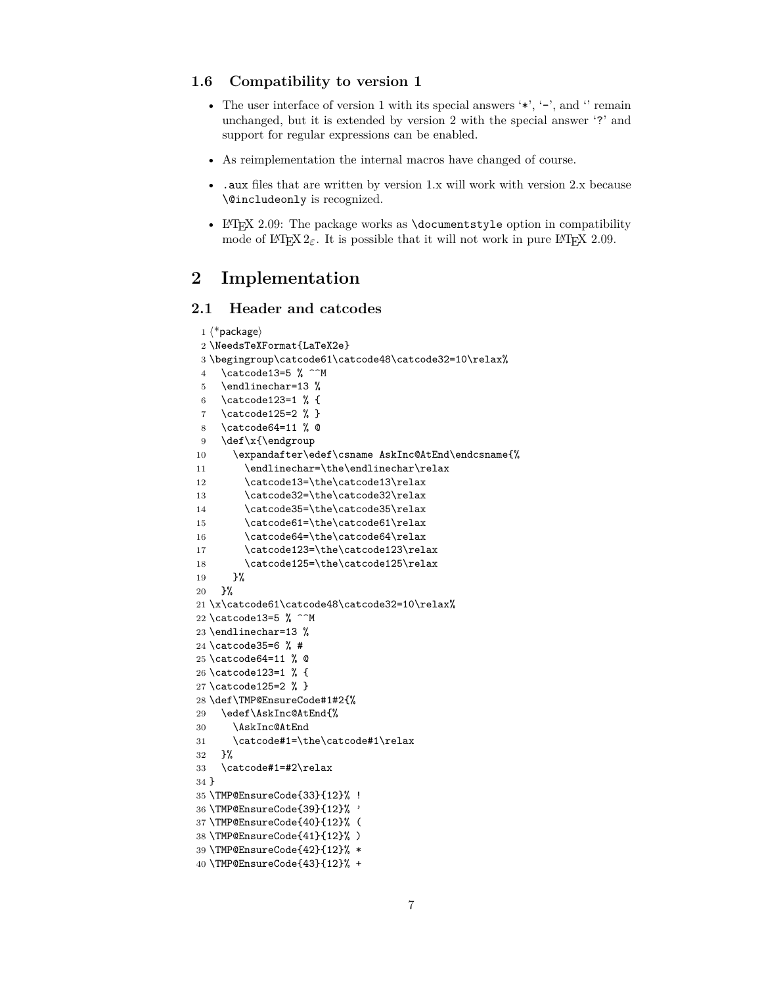#### <span id="page-6-0"></span>**1.6 Compatibility to version 1**

- The user interface of version 1 with its special answers  $'$ ,  $'$ -', and  $'$  remain unchanged, but it is extended by version 2 with the special answer '?' and support for regular expressions can be enabled.
- As reimplementation the internal macros have changed of course.
- .aux files that are written by version 1.x will work with version 2.x because \@includeonly is recognized.
- LATEX 2.09: The package works as **\documentstyle** option in compatibility mode of  $\text{LATEX } 2\varepsilon$ . It is possible that it will not work in pure  $\text{LATEX } 2.09$ .

## <span id="page-6-1"></span>**2 Implementation**

## <span id="page-6-2"></span>**2.1 Header and catcodes**

```
1 \langle*package\rangle2 \NeedsTeXFormat{LaTeX2e}
3 \begingroup\catcode61\catcode48\catcode32=10\relax%
4 \catcode13=5 \% ^^M
5 \endlinechar=13 %
6 \catcode123=1 % {
7 \catcode125=2 % }
8 \catcode64=11 % @
9 \def\x{\endgroup
10 \expandafter\edef\csname AskInc@AtEnd\endcsname{%
11 \endlinechar=\the\endlinechar\relax
12 \catcode13=\the\catcode13\relax
13 \catcode32=\the\catcode32\relax
14 \catcode35=\the\catcode35\relax
15 \catcode61=\the\catcode61\relax
16 \catcode64=\the\catcode64\relax
17 \catcode123=\the\catcode123\relax
18 \catcode125=\the\catcode125\relax
19 }%
20 }%
21 \x\catcode61\catcode48\catcode32=10\relax%
22 \catcode13=5 \% ^^M
23 \endlinechar=13 %
24 \catcode35=6 % #
25 \catcode64=11 % @
26 \catcode123=1 % {
27 \catcode125=2 % }
28 \def\TMP@EnsureCode#1#2{%
29 \edef\AskInc@AtEnd{%
30 \AskInc@AtEnd
31 \catcode#1=\the\catcode#1\relax
32 }%
33 \catcode#1=#2\relax
34 }
35 \TMP@EnsureCode{33}{12}% !
36 \TMP@EnsureCode{39}{12}% '
37 \TMP@EnsureCode{40}{12}% (
38 \TMP@EnsureCode{41}{12}% )
39 \TMP@EnsureCode{42}{12}% *
40 \TMP@EnsureCode{43}{12}% +
```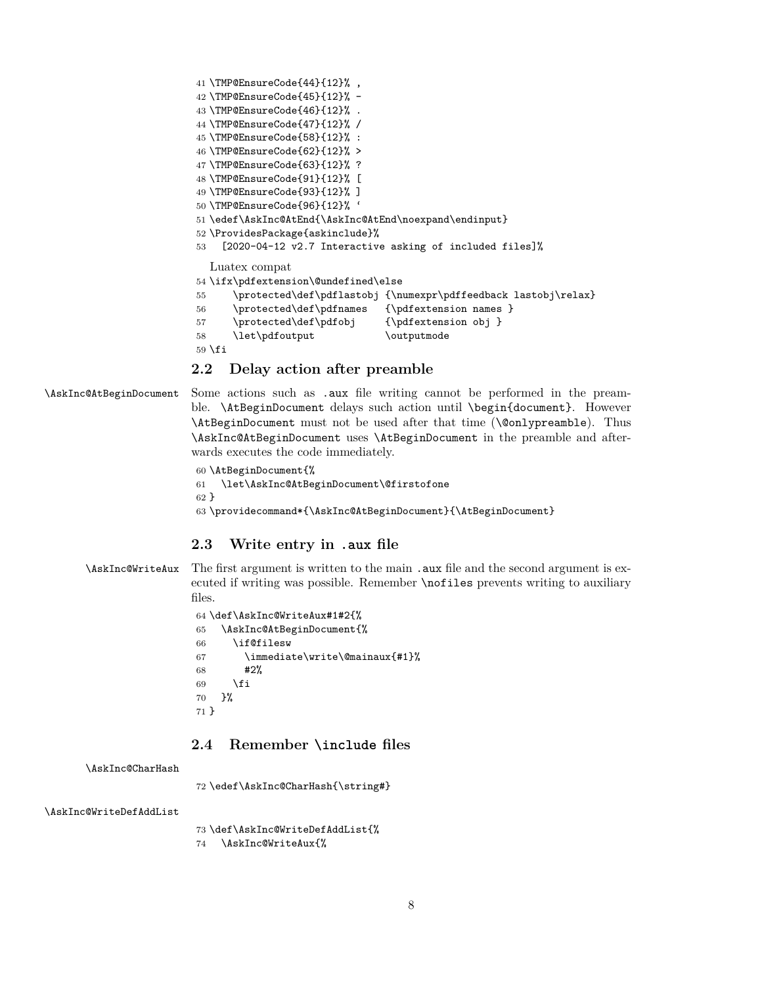<span id="page-7-30"></span><span id="page-7-29"></span><span id="page-7-28"></span><span id="page-7-27"></span><span id="page-7-26"></span><span id="page-7-25"></span><span id="page-7-24"></span><span id="page-7-23"></span><span id="page-7-22"></span><span id="page-7-21"></span><span id="page-7-8"></span> \TMP@EnsureCode{44}{12}% , \TMP@EnsureCode{45}{12}% - \TMP@EnsureCode{46}{12}% . \TMP@EnsureCode{47}{12}% / \TMP@EnsureCode{58}{12}% : \TMP@EnsureCode{62}{12}% > \TMP@EnsureCode{63}{12}% ? \TMP@EnsureCode{91}{12}% [ \TMP@EnsureCode{93}{12}% ] \TMP@EnsureCode{96}{12}% ' \edef\AskInc@AtEnd{\AskInc@AtEnd\noexpand\endinput} \ProvidesPackage{askinclude}% [2020-04-12 v2.7 Interactive asking of included files]% Luatex compat \ifx\pdfextension\@undefined\else \protected\def\pdflastobj {\numexpr\pdffeedback lastobj\relax} \protected\def\pdfnames {\pdfextension names } 57 \protected\def\pdfobj {\pdfextension obj } 58 \let\pdfoutput \outputmode \fi

#### <span id="page-7-20"></span><span id="page-7-19"></span><span id="page-7-18"></span><span id="page-7-17"></span><span id="page-7-16"></span><span id="page-7-5"></span><span id="page-7-0"></span>**2.2 Delay action after preamble**

<span id="page-7-6"></span>\AskInc@AtBeginDocument Some actions such as .aux file writing cannot be performed in the preamble. \AtBeginDocument delays such action until \begin{document}. However \AtBeginDocument must not be used after that time (\@onlypreamble). Thus \AskInc@AtBeginDocument uses \AtBeginDocument in the preamble and afterwards executes the code immediately.

```
60 \AtBeginDocument{%
61 \let\AskInc@AtBeginDocument\@firstofone
62 }
63 \providecommand*{\AskInc@AtBeginDocument}{\AtBeginDocument}
```
#### <span id="page-7-14"></span><span id="page-7-1"></span>**2.3 Write entry in .aux file**

<span id="page-7-10"></span>\AskInc@WriteAux The first argument is written to the main .aux file and the second argument is executed if writing was possible. Remember \nofiles prevents writing to auxiliary files.

```
64 \def\AskInc@WriteAux#1#2{%
65 \AskInc@AtBeginDocument{%
66 \if@filesw
67 \immediate\write\@mainaux{#1}%
68 #2%
69 \fi<br>70 }%
  70 }%
71 }
```
#### <span id="page-7-2"></span>**2.4 Remember \include files**

<span id="page-7-9"></span>\AskInc@CharHash

\edef\AskInc@CharHash{\string#}

<span id="page-7-12"></span>\AskInc@WriteDefAddList

<span id="page-7-11"></span> \def\AskInc@WriteDefAddList{% \AskInc@WriteAux{%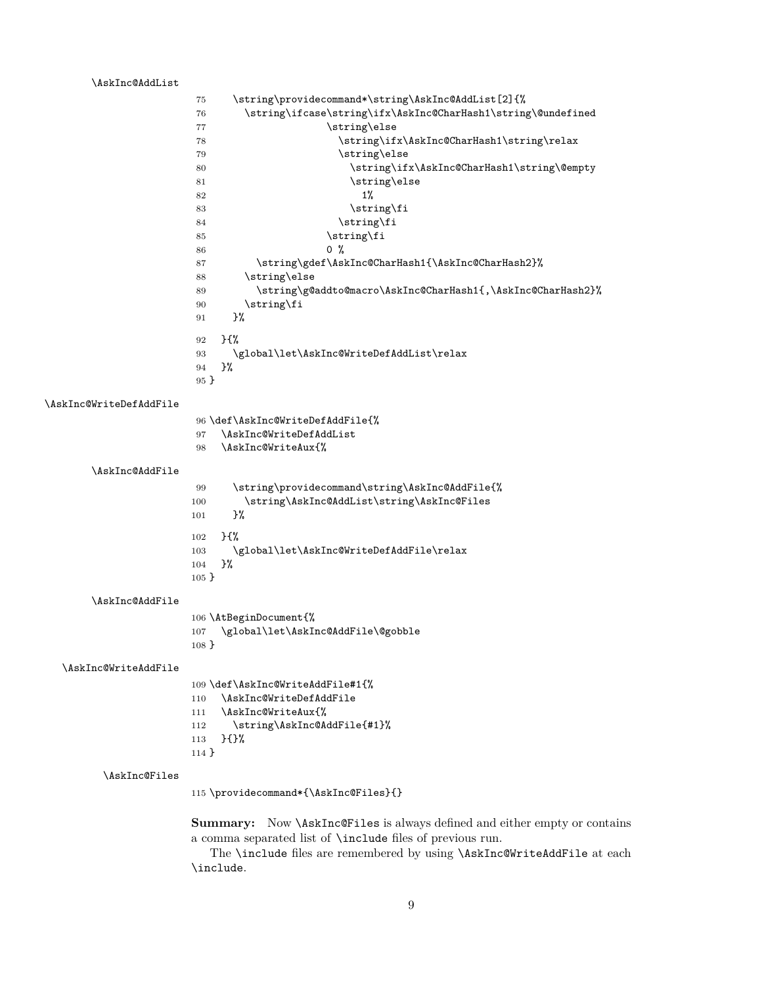<span id="page-8-19"></span><span id="page-8-17"></span><span id="page-8-15"></span><span id="page-8-13"></span><span id="page-8-10"></span><span id="page-8-9"></span><span id="page-8-8"></span><span id="page-8-6"></span><span id="page-8-3"></span><span id="page-8-2"></span><span id="page-8-0"></span>

| \AskInc@AddList         |                                                                                         |
|-------------------------|-----------------------------------------------------------------------------------------|
|                         | \string\providecommand*\string\AskInc@AddList[2]{%<br>75                                |
|                         | \string\ifcase\string\ifx\AskInc@CharHash1\string\@undefined<br>76                      |
|                         | \string\else<br>77                                                                      |
|                         | \string\ifx\AskInc@CharHash1\string\relax<br>78                                         |
|                         | \string\else<br>79                                                                      |
|                         | \string\ifx\AskInc@CharHash1\string\@empty<br>80                                        |
|                         | \string\else<br>81                                                                      |
|                         | 1%<br>82                                                                                |
|                         | \string\fi<br>83                                                                        |
|                         | \string\fi<br>84                                                                        |
|                         | \string\fi<br>85                                                                        |
|                         | 0 <sub>0</sub><br>86                                                                    |
|                         | \string\gdef\AskInc@CharHash1{\AskInc@CharHash2}%<br>87                                 |
|                         | \string\else<br>88                                                                      |
|                         | \string\g@addto@macro\AskInc@CharHash1{,\AskInc@CharHash2}%<br>89                       |
|                         | \string\fi<br>90                                                                        |
|                         | }‰<br>91                                                                                |
|                         | $}$<br>92                                                                               |
|                         | \global\let\AskInc@WriteDefAddList\relax<br>93                                          |
|                         | }%<br>94                                                                                |
|                         | 95 }                                                                                    |
|                         |                                                                                         |
| \AskInc@WriteDefAddFile |                                                                                         |
|                         | 96 \def\AskInc@WriteDefAddFile{%                                                        |
|                         | \AskInc@WriteDefAddList<br>97                                                           |
|                         | \AskInc@WriteAux{%<br>98                                                                |
|                         |                                                                                         |
| \AskInc@AddFile         |                                                                                         |
|                         | \string\providecommand\string\AskInc@AddFile{%<br>99                                    |
|                         | \string\AskInc@AddList\string\AskInc@Files<br>100                                       |
|                         | }%<br>101                                                                               |
|                         | $}$<br>102                                                                              |
|                         | \global\let\AskInc@WriteDefAddFile\relax<br>103                                         |
|                         | }%<br>104                                                                               |
|                         | $105 \}$                                                                                |
|                         |                                                                                         |
| \AskInc@AddFile         |                                                                                         |
|                         | 106 \AtBeginDocument{%                                                                  |
|                         | 107 \global\let\AskInc@AddFile\@gobble                                                  |
|                         | $108 \}$                                                                                |
|                         |                                                                                         |
| \AskInc@WriteAddFile    |                                                                                         |
|                         | 109 \def\AskInc@WriteAddFile#1{%                                                        |
|                         | \AskInc@WriteDefAddFile<br>110                                                          |
|                         | \AskInc@WriteAux{%<br>111                                                               |
|                         | \string\AskInc@AddFile{#1}%<br>112                                                      |
|                         | }{}%<br>113                                                                             |
|                         | $114$ }                                                                                 |
|                         |                                                                                         |
| \AskInc@Files           |                                                                                         |
|                         | 115 \providecommand*{\AskInc@Files}{}                                                   |
|                         |                                                                                         |
|                         | <b>Summary:</b> Now <i>\AskInc@Files</i> is always defined and either empty or contains |
|                         | a comma separated list of <b>\include</b> files of previous run.                        |
|                         | The \include files are remembered by using \AskInc@WriteAddFile at each                 |

<span id="page-8-21"></span><span id="page-8-20"></span><span id="page-8-18"></span><span id="page-8-16"></span><span id="page-8-14"></span><span id="page-8-12"></span><span id="page-8-11"></span><span id="page-8-7"></span><span id="page-8-5"></span><span id="page-8-4"></span><span id="page-8-1"></span>The \include files are remembered by using \AskInc@WriteAddFile at each \include.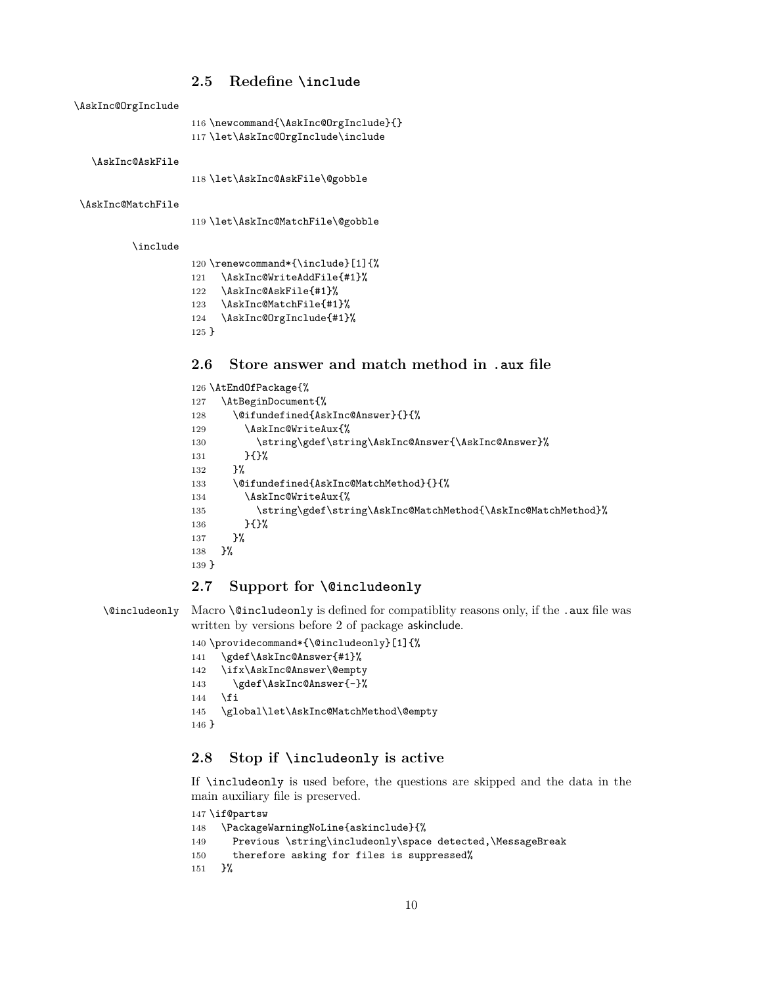#### <span id="page-9-0"></span>**2.5 Redefine \include**

<span id="page-9-19"></span>\AskInc@OrgInclude

```
116 \newcommand{\AskInc@OrgInclude}{}
117 \let\AskInc@OrgInclude\include
```
<span id="page-9-14"></span>\AskInc@AskFile

<span id="page-9-6"></span>\let\AskInc@AskFile\@gobble

<span id="page-9-16"></span>\AskInc@MatchFile

<span id="page-9-7"></span>\let\AskInc@MatchFile\@gobble

#### <span id="page-9-28"></span>\include

```
120 \renewcommand*{\include}[1]{%
121 \AskInc@WriteAddFile{#1}%
122 \AskInc@AskFile{#1}%
123 \AskInc@MatchFile{#1}%
124 \AskInc@OrgInclude{#1}%
125 }
```
## <span id="page-9-20"></span><span id="page-9-1"></span>**2.6 Store answer and match method in .aux file**

<span id="page-9-25"></span><span id="page-9-24"></span><span id="page-9-22"></span><span id="page-9-11"></span><span id="page-9-9"></span><span id="page-9-8"></span>

|         | 126 \AtEndOfPackage{%                                        |
|---------|--------------------------------------------------------------|
| 127     | \AtBeginDocument{%                                           |
| 128     | \@ifundefined{AskInc@Answer}{}{%                             |
| 129     | \AskInc@WriteAux{%                                           |
| 130     | \string\gdef\string\AskInc@Answer{\AskInc@Answer}%           |
| 131     | HY                                                           |
| 132     | ጉ%                                                           |
| 133     | \@ifundefined{AskInc@MatchMethod}{}{%                        |
| 134     | \AskInc@WriteAux{%                                           |
| 135     | \string\gdef\string\AskInc@MatchMethod{\AskInc@MatchMethod}% |
| 136     | H                                                            |
| 137     | ጉ%                                                           |
| 138     | ጉ%                                                           |
| $139$ } |                                                              |
|         |                                                              |

#### <span id="page-9-23"></span><span id="page-9-18"></span><span id="page-9-2"></span>**2.7 Support for \@includeonly**

<span id="page-9-10"></span>\@includeonly Macro \@includeonly is defined for compatiblity reasons only, if the .aux file was written by versions before 2 of package askinclude.

```
140 \providecommand*{\@includeonly}[1]{%
141 \gdef\AskInc@Answer{#1}%
142 \ifx\AskInc@Answer\@empty
143 \gdef\AskInc@Answer{-}%
144 \fi
145 \global\let\AskInc@MatchMethod\@empty
146 }
```
### <span id="page-9-5"></span><span id="page-9-3"></span>**2.8 Stop if \includeonly is active**

If \includeonly is used before, the questions are skipped and the data in the main auxiliary file is preserved.

```
147 \if@partsw
148 \PackageWarningNoLine{askinclude}{%
149 Previous \string\includeonly\space detected,\MessageBreak
150 therefore asking for files is suppressed%
151 }%
```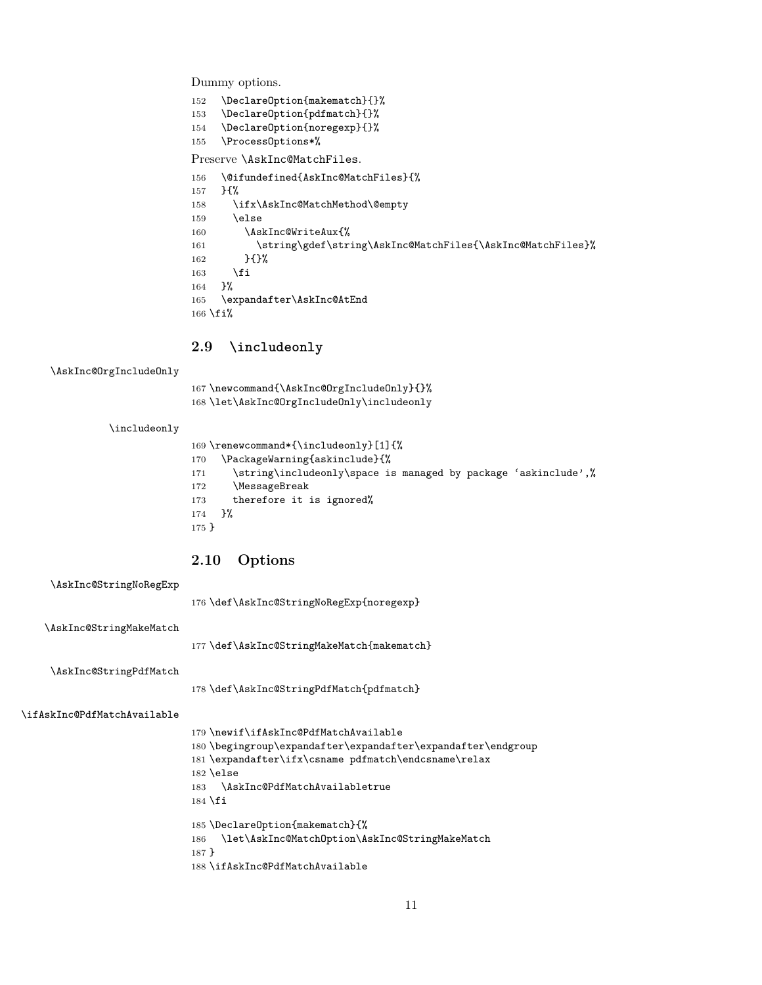Dummy options.

- <span id="page-10-14"></span>\DeclareOption{makematch}{}%
- <span id="page-10-15"></span>\DeclareOption{pdfmatch}{}%
- <span id="page-10-16"></span>\DeclareOption{noregexp}{}%

<span id="page-10-26"></span>\ProcessOptions\*%

#### Preserve \AskInc@MatchFiles.

```
156 \@ifundefined{AskInc@MatchFiles}{%
157 }{%
158 \ifx\AskInc@MatchMethod\@empty
159 \else
160 \AskInc@WriteAux{%
161 \string\gdef\string\AskInc@MatchFiles{\AskInc@MatchFiles}%
162 }{}%
163 \fi
164 }%
165 \expandafter\AskInc@AtEnd
166 \fi%
```
#### <span id="page-10-4"></span><span id="page-10-0"></span>**2.9 \includeonly**

#### <span id="page-10-7"></span>\AskInc@OrgIncludeOnly

<span id="page-10-23"></span><span id="page-10-20"></span> \newcommand{\AskInc@OrgIncludeOnly}{}% \let\AskInc@OrgIncludeOnly\includeonly

#### <span id="page-10-21"></span>\includeonly

<span id="page-10-28"></span><span id="page-10-27"></span><span id="page-10-25"></span><span id="page-10-22"></span>

|       | 169 \renewcommand*{\includeonly}[1]{%                           |
|-------|-----------------------------------------------------------------|
| 170   | \PackageWarning{askinclude}{%                                   |
| 171   | \string\includeonly\space is managed by package 'askinclude',%\ |
| 172   | <b>\MessageBreak</b>                                            |
| 173   | therefore it is ignored%                                        |
| 174   | $\frac{1}{2}$                                                   |
| 175 } |                                                                 |
|       |                                                                 |

### <span id="page-10-1"></span>**2.10 Options**

<span id="page-10-10"></span>

| \AskInc@StringNoRegExp |  |
|------------------------|--|
|------------------------|--|

\def\AskInc@StringNoRegExp{noregexp}

<span id="page-10-9"></span>\AskInc@StringMakeMatch

\def\AskInc@StringMakeMatch{makematch}

<span id="page-10-11"></span>\AskInc@StringPdfMatch

\def\AskInc@StringPdfMatch{pdfmatch}

#### <span id="page-10-18"></span>\ifAskInc@PdfMatchAvailable

<span id="page-10-24"></span><span id="page-10-19"></span><span id="page-10-17"></span><span id="page-10-13"></span><span id="page-10-8"></span><span id="page-10-6"></span> \newif\ifAskInc@PdfMatchAvailable \begingroup\expandafter\expandafter\expandafter\endgroup \expandafter\ifx\csname pdfmatch\endcsname\relax \else \AskInc@PdfMatchAvailabletrue  $184 \text{ t}$  \DeclareOption{makematch}{% \let\AskInc@MatchOption\AskInc@StringMakeMatch } \ifAskInc@PdfMatchAvailable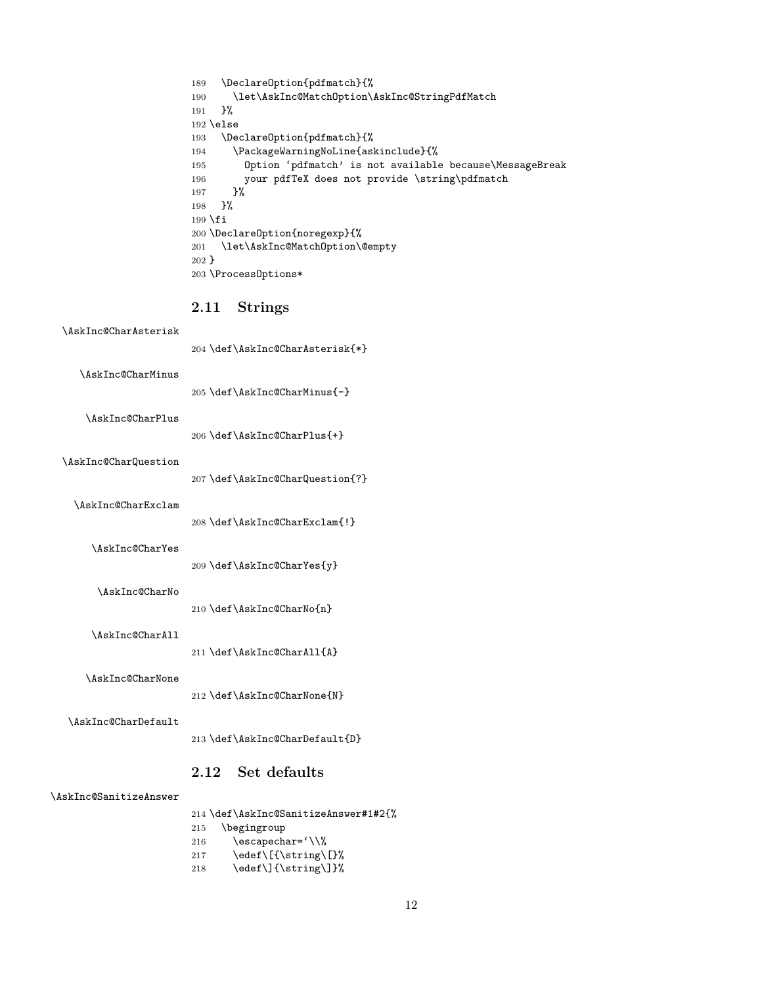<span id="page-11-23"></span><span id="page-11-22"></span><span id="page-11-21"></span><span id="page-11-19"></span><span id="page-11-18"></span><span id="page-11-16"></span>

| 189                | \Declare0ption{pdfmatch}{%                              |
|--------------------|---------------------------------------------------------|
| 190                | \let\AskInc@MatchOption\AskInc@StringPdfMatch           |
| 191                | ጉ%                                                      |
| $192$ \else        |                                                         |
| 193                | \Declare0ption{pdfmatch}{%                              |
| 194                | \PackageWarningNoLine{askinclude}{%                     |
| 195                | Option 'pdfmatch' is not available because\MessageBreak |
| 196                | your pdfTeX does not provide \string\pdfmatch           |
| 197                | ጉ%                                                      |
| 198                | ጉ%                                                      |
| 199 $\overline{1}$ |                                                         |
|                    | 200 \Declare0ption{noregexp}{%                          |
| 201                | \let\AskInc@MatchOption\@empty                          |
| $202$ }            |                                                         |
|                    | 203 \Process0ptions*                                    |

## <span id="page-11-24"></span><span id="page-11-20"></span><span id="page-11-2"></span><span id="page-11-0"></span>**2.11 Strings**

<span id="page-11-14"></span><span id="page-11-13"></span><span id="page-11-10"></span><span id="page-11-7"></span>

| \AskInc@CharAsterisk |                                 |
|----------------------|---------------------------------|
|                      | 204 \def\AskInc@CharAsterisk{*} |
| \AskInc@CharMinus    |                                 |
|                      | 205 \def\AskInc@CharMinus{-}    |
| \AskInc@CharPlus     |                                 |
|                      | 206 \def\AskInc@CharPlus{+}     |
| \AskInc@CharQuestion |                                 |
|                      | 207 \def\AskInc@CharQuestion{?} |
| \AskInc@CharExclam   |                                 |
|                      | 208 \def\AskInc@CharExclam{!}   |
| \AskInc@CharYes      |                                 |
|                      |                                 |

209 \def\AskInc@CharYes{y}

#### <span id="page-11-15"></span><span id="page-11-11"></span><span id="page-11-9"></span>\AskInc@CharNo

210 \def\AskInc@CharNo{n}

#### <span id="page-11-6"></span>\AskInc@CharAll

211 \def\AskInc@CharAll{A}

#### <span id="page-11-12"></span>\AskInc@CharNone

212 \def\AskInc@CharNone{N}

#### <span id="page-11-8"></span>\AskInc@CharDefault

213 \def\AskInc@CharDefault{D}

#### <span id="page-11-1"></span>**2.12 Set defaults**

#### <span id="page-11-17"></span>\AskInc@SanitizeAnswer

<span id="page-11-5"></span><span id="page-11-4"></span><span id="page-11-3"></span>214 \def\AskInc@SanitizeAnswer#1#2{% 215 \begingroup 216 \escapechar='\\% 217 \edef\[{\string\[}% 218 \edef\]{\string\]}%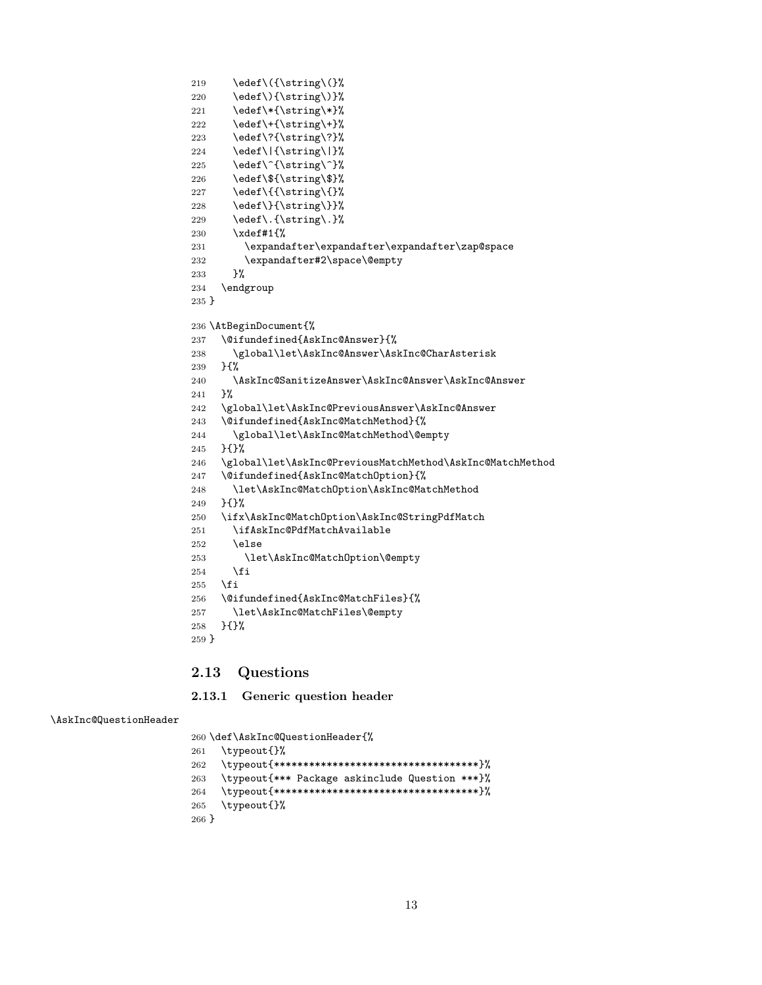```
219 \cdot \edef\({\string\(}%
220 \edef\){\string\)}%
221 \edef\*{\string\*}%
222 \edef\+{\string\+}%
223 \edef\?{\string\?}%
224 \edef\|{\string\|}%
225 \edef\^{\string\^}%
226 \edef\${\string\$}%
227 \edef\{{\string\{}%
228 \edef\}{\string\}}%
229 \edef\.{\string\.}%
230 \xdef#1{%
231 \expandafter\expandafter\expandafter\zap@space
232 \expandafter#2\space\@empty
233 }%
234 \endgroup
235 }
236 \AtBeginDocument{%
237 \@ifundefined{AskInc@Answer}{%
238 \global\let\AskInc@Answer\AskInc@CharAsterisk
239 }{%
240 \AskInc@SanitizeAnswer\AskInc@Answer\AskInc@Answer
241 }%
242 \global\let\AskInc@PreviousAnswer\AskInc@Answer
243 \@ifundefined{AskInc@MatchMethod}{%
244 \global\let\AskInc@MatchMethod\@empty
245 }{}%
246 \global\let\AskInc@PreviousMatchMethod\AskInc@MatchMethod
247 \@ifundefined{AskInc@MatchOption}{%
248 \let\AskInc@MatchOption\AskInc@MatchMethod
249 }{}%
250 \ifx\AskInc@MatchOption\AskInc@StringPdfMatch
251 \ifAskInc@PdfMatchAvailable
252 \else
253 \let\AskInc@MatchOption\@empty
254 \fi
255 \fi
256 \@ifundefined{AskInc@MatchFiles}{%
257 \let\AskInc@MatchFiles\@empty
258 }{}%
259 }
```
#### <span id="page-12-29"></span><span id="page-12-26"></span><span id="page-12-25"></span><span id="page-12-24"></span><span id="page-12-23"></span><span id="page-12-22"></span><span id="page-12-16"></span><span id="page-12-15"></span><span id="page-12-14"></span><span id="page-12-12"></span><span id="page-12-11"></span><span id="page-12-10"></span><span id="page-12-0"></span>**2.13 Questions**

<span id="page-12-1"></span>**2.13.1 Generic question header**

#### <span id="page-12-27"></span>\AskInc@QuestionHeader

<span id="page-12-30"></span> \def\AskInc@QuestionHeader{% \typeout{}% \typeout{\*\*\*\*\*\*\*\*\*\*\*\*\*\*\*\*\*\*\*\*\*\*\*\*\*\*\*\*\*\*\*\*\*\*\*}%

```
263 \typeout{*** Package askinclude Question ***}%
264 \typeout{***********************************}%
265 \typeout{}%
266 }
```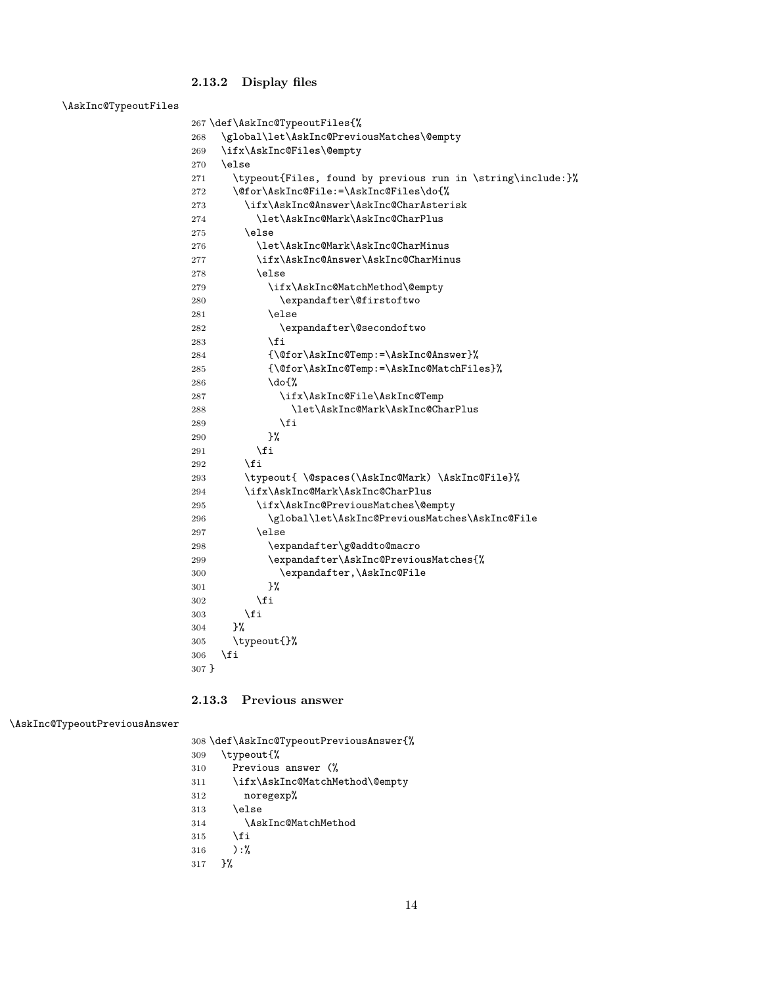## <span id="page-13-28"></span><span id="page-13-26"></span><span id="page-13-16"></span><span id="page-13-15"></span><span id="page-13-14"></span><span id="page-13-13"></span><span id="page-13-11"></span><span id="page-13-10"></span><span id="page-13-9"></span><span id="page-13-8"></span><span id="page-13-7"></span><span id="page-13-4"></span><span id="page-13-3"></span><span id="page-13-2"></span><span id="page-13-0"></span>**2.13.2 Display files**

<span id="page-13-24"></span>

| \AskInc@TypeoutFiles |         |                                                             |
|----------------------|---------|-------------------------------------------------------------|
|                      |         | 267 \def\AskInc@TypeoutFiles{%                              |
|                      | 268     | \global\let\AskInc@PreviousMatches\@empty                   |
|                      | 269     | \ifx\AskInc@Files\@empty                                    |
|                      | 270     | \else                                                       |
|                      | 271     | \typeout{Files, found by previous run in \string\include:}% |
|                      | 272     | \@for\AskInc@File:=\AskInc@Files\do{%                       |
|                      | 273     | \ifx\AskInc@Answer\AskInc@CharAsterisk                      |
|                      | 274     | \let\AskInc@Mark\AskInc@CharPlus                            |
|                      | 275     | \else                                                       |
|                      | 276     | \let\AskInc@Mark\AskInc@CharMinus                           |
|                      | 277     | \ifx\AskInc@Answer\AskInc@CharMinus                         |
|                      | 278     | \else                                                       |
|                      | 279     | \ifx\AskInc@MatchMethod\@empty                              |
|                      | 280     | \expandafter\@firstoftwo                                    |
|                      | 281     | \else                                                       |
|                      | 282     | \expandafter\@secondoftwo                                   |
|                      | 283     | \fi                                                         |
|                      | 284     | {\@for\AskInc@Temp:=\AskInc@Answer}%                        |
|                      | 285     | {\@for\AskInc@Temp:=\AskInc@MatchFiles}%                    |
|                      | 286     | $\do$ {%                                                    |
|                      | 287     | \ifx\AskInc@File\AskInc@Temp                                |
|                      | 288     | \let\AskInc@Mark\AskInc@CharPlus                            |
|                      | 289     | \fi                                                         |
|                      | 290     | }%                                                          |
|                      | 291     | \fi                                                         |
|                      | 292     | \fi                                                         |
|                      | 293     | \typeout{\@spaces(\AskInc@Mark)\AskInc@File}%               |
|                      | 294     | \ifx\AskInc@Mark\AskInc@CharPlus                            |
|                      | 295     | \ifx\AskInc@PreviousMatches\@empty                          |
|                      | 296     | \global\let\AskInc@PreviousMatches\AskInc@File              |
|                      | 297     | \else                                                       |
|                      | 298     | \expandafter\g@addto@macro                                  |
|                      | 299     | \expandafter\AskInc@PreviousMatches{%                       |
|                      | 300     | \expandafter,\AskInc@File                                   |
|                      | 301     | }‰                                                          |
|                      | 302     | \fi                                                         |
|                      | 303     | \fi                                                         |
|                      | 304     | }%                                                          |
|                      | 305     | \typeout{}%                                                 |
|                      | 306     | \fi                                                         |
|                      | $307$ } |                                                             |

#### <span id="page-13-29"></span><span id="page-13-27"></span><span id="page-13-23"></span><span id="page-13-21"></span><span id="page-13-20"></span><span id="page-13-19"></span><span id="page-13-18"></span><span id="page-13-17"></span><span id="page-13-12"></span><span id="page-13-5"></span><span id="page-13-1"></span>**2.13.3 Previous answer**

<span id="page-13-25"></span>\AskInc@TypeoutPreviousAnswer

<span id="page-13-30"></span><span id="page-13-22"></span><span id="page-13-6"></span> \def\AskInc@TypeoutPreviousAnswer{% \typeout{% Previous answer (% 311 \ifx\AskInc@MatchMethod\@empty<br>312 noregexp% noregexp% \else \AskInc@MatchMethod 315  $\setminus$ fi ):% }%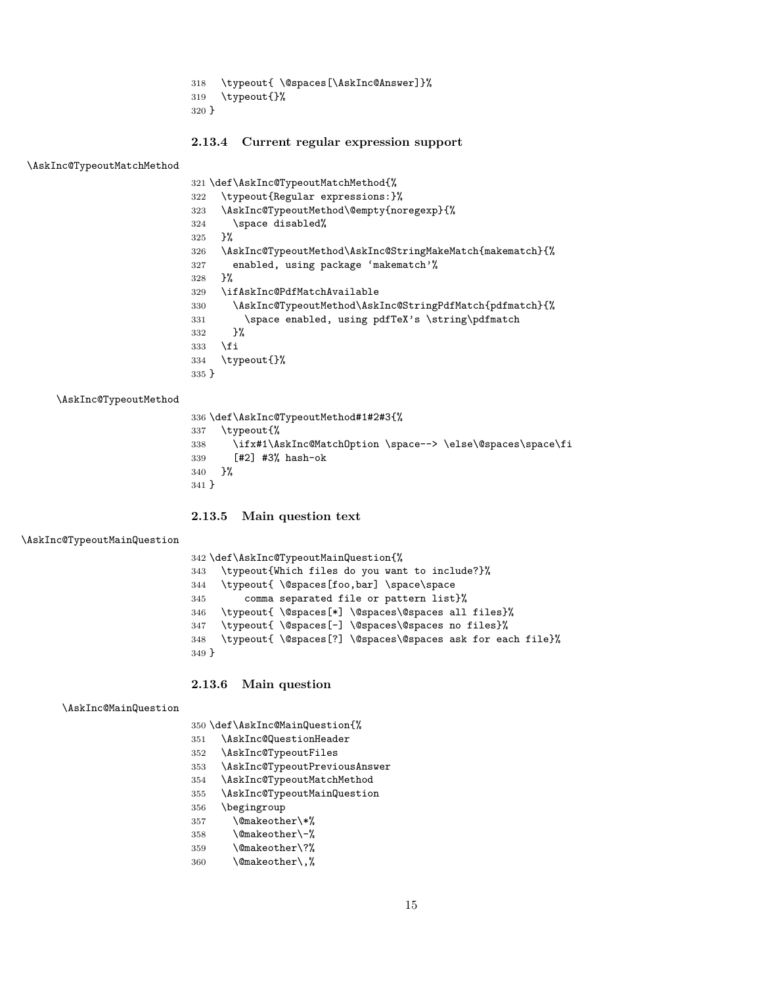<span id="page-14-28"></span><span id="page-14-8"></span> \typeout{ \@spaces[\AskInc@Answer]}% \typeout{}% }

#### <span id="page-14-0"></span>**2.13.4 Current regular expression support**

<span id="page-14-21"></span>\AskInc@TypeoutMatchMethod

<span id="page-14-29"></span><span id="page-14-27"></span><span id="page-14-25"></span><span id="page-14-16"></span><span id="page-14-7"></span>

|         | 321 \def\AskInc@TypeoutMatchMethod{%                      |
|---------|-----------------------------------------------------------|
| 322     | \typeout{Regular expressions:}%                           |
| 323     | \AskInc@TypeoutMethod\@empty{noregexp}{%                  |
| 324     | \space disabled%                                          |
| 325     | ጉ%                                                        |
| 326     | \AskInc@TypeoutMethod\AskInc@StringMakeMatch{makematch}{% |
| 327     | enabled, using package 'makematch'%                       |
| 328     | ጉ%                                                        |
| 329     | \ifAskInc@PdfMatchAvailable                               |
| 330     | \AskInc@TypeoutMethod\AskInc@StringPdfMatch{pdfmatch}{%   |
| 331     | \space enabled, using pdfTeX's \string\pdfmatch           |
| 332     | ጉ%                                                        |
| 333     | \fi                                                       |
| 334     | \typeout{}%                                               |
| $335$ } |                                                           |
|         |                                                           |

<span id="page-14-23"></span>\AskInc@TypeoutMethod

<span id="page-14-31"></span><span id="page-14-30"></span><span id="page-14-26"></span><span id="page-14-17"></span><span id="page-14-9"></span>

|         |            |  | 336 \def\AskInc@TypeoutMethod#1#2#3{% |                                                                |
|---------|------------|--|---------------------------------------|----------------------------------------------------------------|
| 337     | \typeout{% |  |                                       |                                                                |
|         |            |  |                                       | 338 \ifx#1\AskInc@MatchOption \space--> \else\@spaces\space\fi |
| 339     |            |  | [#2] #3% hash-ok                      |                                                                |
| 340     | <b>ጉ%</b>  |  |                                       |                                                                |
| $341$ } |            |  |                                       |                                                                |
|         |            |  |                                       |                                                                |

#### <span id="page-14-1"></span>**2.13.5 Main question text**

<span id="page-14-19"></span>\AskInc@TypeoutMainQuestion

<span id="page-14-32"></span><span id="page-14-11"></span><span id="page-14-10"></span> \def\AskInc@TypeoutMainQuestion{% \typeout{Which files do you want to include?}% \typeout{ \@spaces[foo,bar] \space\space comma separated file or pattern list}% \typeout{ \@spaces[\*] \@spaces\@spaces all files}% \typeout{ \@spaces[-] \@spaces\@spaces no files}% \typeout{ \@spaces[?] \@spaces\@spaces ask for each file}% }

#### <span id="page-14-13"></span><span id="page-14-12"></span><span id="page-14-2"></span>**2.13.6 Main question**

<span id="page-14-14"></span>\AskInc@MainQuestion

\def\AskInc@MainQuestion{%

- <span id="page-14-15"></span>\AskInc@QuestionHeader
- <span id="page-14-18"></span>\AskInc@TypeoutFiles
- <span id="page-14-24"></span>\AskInc@TypeoutPreviousAnswer
- <span id="page-14-22"></span>\AskInc@TypeoutMatchMethod
- <span id="page-14-20"></span>\AskInc@TypeoutMainQuestion
- \begingroup
- <span id="page-14-3"></span>\@makeother\\*%
- <span id="page-14-5"></span>\@makeother\-%
- <span id="page-14-6"></span>\@makeother\?%
- <span id="page-14-4"></span>\@makeother\,%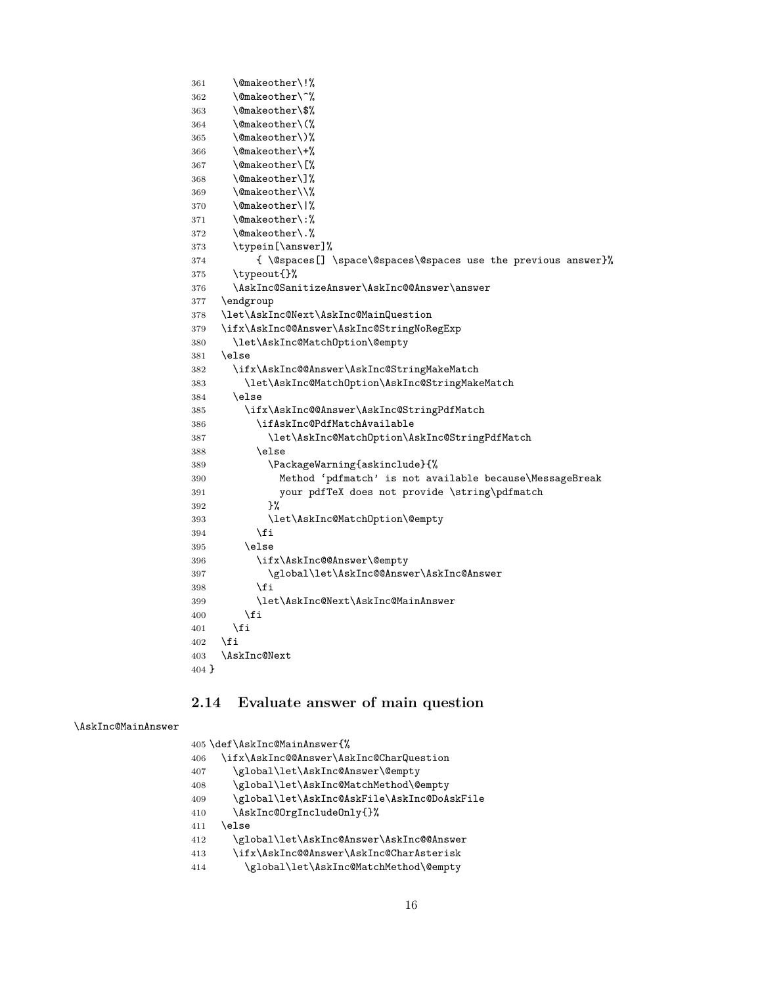```
361 \@makeother\!%
362 \@makeother\^%
363 \@makeother\$%
364 \@makeother\(%
365 \@makeother\)%
366 \@makeother\+%
367 \@makeother\[%
368 \@makeother\]%
369 \@makeother\\%
370 \@makeother\|%
371 \@makeother\:%
372 \@makeother\.%
373 \typein[\answer]%
374 { \@spaces[] \space\@spaces\@spaces use the previous answer}%
375 \typeout{}%
376 \AskInc@SanitizeAnswer\AskInc@@Answer\answer
377 \endgroup
378 \let\AskInc@Next\AskInc@MainQuestion
379 \ifx\AskInc@@Answer\AskInc@StringNoRegExp
380 \let\AskInc@MatchOption\@empty
381 \else
382 \ifx\AskInc@@Answer\AskInc@StringMakeMatch
383 \let\AskInc@MatchOption\AskInc@StringMakeMatch
384 \else
385 \ifx\AskInc@@Answer\AskInc@StringPdfMatch
386 \ifAskInc@PdfMatchAvailable
387 \let\AskInc@MatchOption\AskInc@StringPdfMatch
388 \else
389 \PackageWarning{askinclude}{%
390 Method 'pdfmatch' is not available because\MessageBreak
391 your pdfTeX does not provide \string\pdfmatch
392 }%
393 \let\AskInc@MatchOption\@empty
394 \fi
395 \else
396 \ifx\AskInc@@Answer\@empty
397 \global\let\AskInc@@Answer\AskInc@Answer
398 \fi
399 \let\AskInc@Next\AskInc@MainAnswer
400 \overline{\text{f}i}401 \fi
402 \fi
403 \AskInc@Next
404 }
```
#### <span id="page-15-40"></span><span id="page-15-39"></span><span id="page-15-38"></span><span id="page-15-37"></span><span id="page-15-35"></span><span id="page-15-33"></span><span id="page-15-30"></span><span id="page-15-25"></span><span id="page-15-24"></span><span id="page-15-10"></span><span id="page-15-9"></span><span id="page-15-0"></span>**2.14 Evaluate answer of main question**

#### <span id="page-15-31"></span>\AskInc@MainAnswer

<span id="page-15-36"></span><span id="page-15-29"></span><span id="page-15-28"></span><span id="page-15-27"></span><span id="page-15-26"></span><span id="page-15-13"></span><span id="page-15-12"></span><span id="page-15-11"></span>

|     | 405 \def\AskInc@MainAnswer{%                |
|-----|---------------------------------------------|
| 406 | \ifx\AskInc@@Answer\AskInc@CharQuestion     |
| 407 | \global\let\AskInc@Answer\@empty            |
| 408 | \global\let\AskInc@MatchMethod\@empty       |
| 409 | \global\let\AskInc@AskFile\AskInc@DoAskFile |
| 410 | \AskInc@OrgIncludeOnly{}%                   |
| 411 | \else                                       |
| 412 | \global\let\AskInc@Answer\AskInc@@Answer    |
| 413 | \ifx\AskInc@@Answer\AskInc@CharAsterisk     |
| 414 | \global\let\AskInc@MatchMethod\@empty       |
|     |                                             |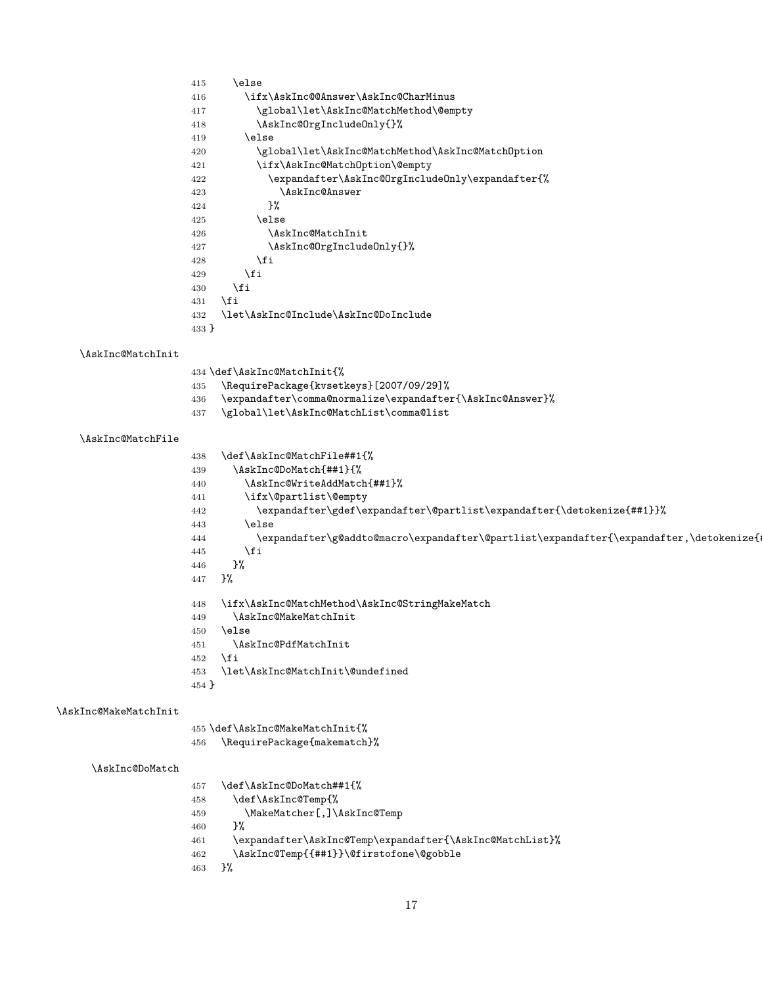<span id="page-16-30"></span><span id="page-16-29"></span><span id="page-16-28"></span><span id="page-16-27"></span><span id="page-16-26"></span><span id="page-16-25"></span><span id="page-16-24"></span><span id="page-16-23"></span><span id="page-16-22"></span><span id="page-16-21"></span><span id="page-16-20"></span><span id="page-16-19"></span><span id="page-16-18"></span><span id="page-16-17"></span><span id="page-16-16"></span><span id="page-16-15"></span><span id="page-16-14"></span><span id="page-16-13"></span><span id="page-16-12"></span><span id="page-16-11"></span><span id="page-16-10"></span><span id="page-16-9"></span><span id="page-16-8"></span><span id="page-16-7"></span><span id="page-16-6"></span><span id="page-16-5"></span><span id="page-16-4"></span><span id="page-16-3"></span><span id="page-16-2"></span><span id="page-16-1"></span><span id="page-16-0"></span>

|                       | \else<br>415                                                                                  |
|-----------------------|-----------------------------------------------------------------------------------------------|
|                       | \ifx\AskInc@@Answer\AskInc@CharMinus<br>416                                                   |
|                       | \global\let\AskInc@MatchMethod\@empty<br>417                                                  |
|                       | \AskInc@OrgIncludeOnly{}%<br>418                                                              |
|                       | \else<br>419                                                                                  |
|                       | \global\let\AskInc@MatchMethod\AskInc@MatchOption<br>420                                      |
|                       | \ifx\AskInc@MatchOption\@empty<br>421                                                         |
|                       | \expandafter\AskInc@OrgIncludeOnly\expandafter{%<br>422                                       |
|                       | \AskInc@Answer<br>423                                                                         |
|                       | }‰<br>424                                                                                     |
|                       | \else<br>425                                                                                  |
|                       | \AskInc@MatchInit<br>426                                                                      |
|                       | \AskInc@OrgIncludeOnly{}%<br>427                                                              |
|                       | \fi<br>428                                                                                    |
|                       | \fi<br>429                                                                                    |
|                       | \fi<br>430                                                                                    |
|                       | \fi<br>431                                                                                    |
|                       | \let\AskInc@Include\AskInc@DoInclude<br>432                                                   |
|                       | 433 }                                                                                         |
|                       |                                                                                               |
| \AskInc@MatchInit     |                                                                                               |
|                       | 434 \def\AskInc@MatchInit{%                                                                   |
|                       | \RequirePackage{kvsetkeys}[2007/09/29]%<br>435                                                |
|                       | \expandafter\comma@normalize\expandafter{\AskInc@Answer}%<br>436                              |
|                       | \global\let\AskInc@MatchList\comma@list<br>437                                                |
|                       |                                                                                               |
| \AskInc@MatchFile     |                                                                                               |
|                       | \def\AskInc@MatchFile##1{%<br>438                                                             |
|                       | \AskInc@DoMatch{##1}{%<br>439                                                                 |
|                       | \AskInc@WriteAddMatch{##1}%<br>440                                                            |
|                       | \ifx\@partlist\@empty<br>441                                                                  |
|                       | \expandafter\gdef\expandafter\@partlist\expandafter{\detokenize{##1}}%<br>442                 |
|                       | \else<br>443                                                                                  |
|                       | \expandafter\g@addto@macro\expandafter\@partlist\expandafter{\expandafter,\detokenize{<br>444 |
|                       | \fi<br>445                                                                                    |
|                       | 3%<br>446                                                                                     |
|                       | }%<br>447                                                                                     |
|                       |                                                                                               |
|                       | \ifx\AskInc@MatchMethod\AskInc@StringMakeMatch<br>448                                         |
|                       | \AskInc@MakeMatchInit<br>449                                                                  |
|                       | 450<br>\else                                                                                  |
|                       | \AskInc@PdfMatchInit<br>451                                                                   |
|                       | \fi<br>452                                                                                    |
|                       | \let\AskInc@MatchInit\@undefined<br>453                                                       |
|                       | 454 }                                                                                         |
|                       |                                                                                               |
| \AskInc@MakeMatchInit |                                                                                               |
|                       | 455 \def\AskInc@MakeMatchInit{%                                                               |
|                       | \RequirePackage{makematch}%<br>456                                                            |
|                       |                                                                                               |
| \AskInc@DoMatch       |                                                                                               |
|                       | \def\AskInc@DoMatch##1{%                                                                      |
|                       | 457                                                                                           |
|                       | \def\AskInc@Temp{%<br>458                                                                     |
|                       | \MakeMatcher[,]\AskInc@Temp<br>459                                                            |
|                       | }%<br>460                                                                                     |
|                       | \expandafter\AskInc@Temp\expandafter{\AskInc@MatchList}%<br>461                               |
|                       | \AskInc@Temp{{##1}}\@firstofone\@gobble<br>462                                                |
|                       | }‰<br>463                                                                                     |
|                       |                                                                                               |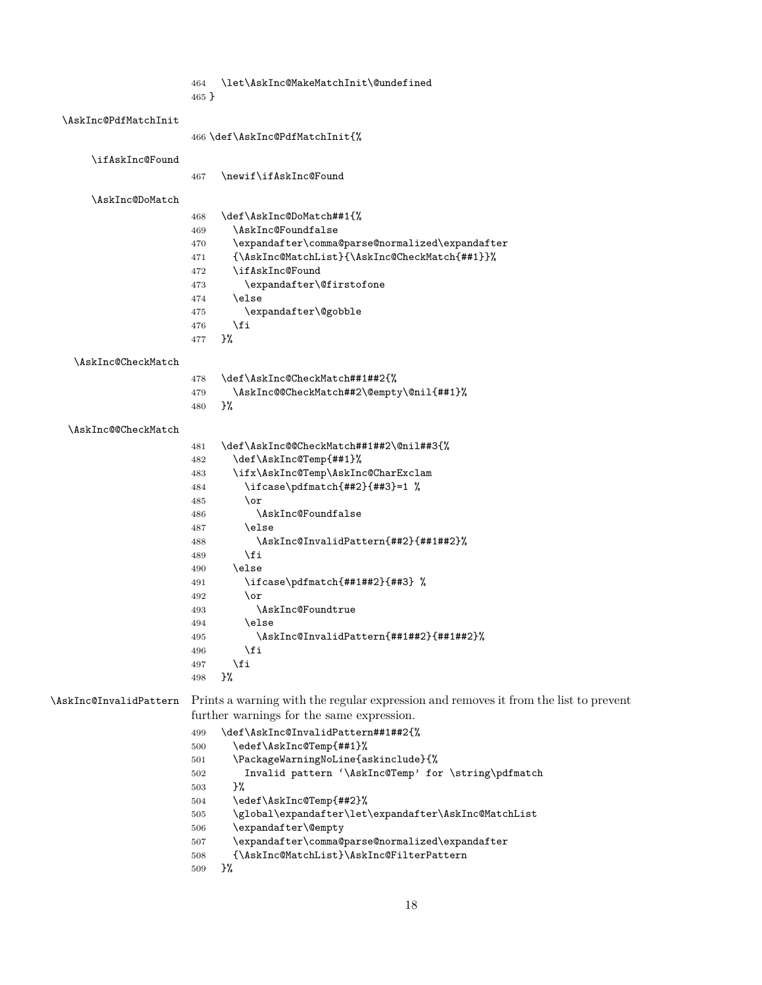<span id="page-17-5"></span>

| \let\AskInc@MakeMatchInit\@undefined<br>464 |  |
|---------------------------------------------|--|
|---------------------------------------------|--|

}

#### <span id="page-17-19"></span>\AskInc@PdfMatchInit

|  |  | 466 \def\AskInc@PdfMatchInit{% |  |
|--|--|--------------------------------|--|
|--|--|--------------------------------|--|

<span id="page-17-26"></span>\ifAskInc@Found

<span id="page-17-30"></span>

| 467 | \newif\ifAskInc@Found |
|-----|-----------------------|
|-----|-----------------------|

<span id="page-17-10"></span>\AskInc@DoMatch

<span id="page-17-27"></span><span id="page-17-24"></span><span id="page-17-12"></span><span id="page-17-8"></span><span id="page-17-2"></span>

| 468 | \def\AskInc@DoMatch##1{%                        |
|-----|-------------------------------------------------|
| 469 | \AskInc@Foundfalse                              |
| 470 | \expandafter\comma@parse@normalized\expandafter |
| 471 | {\AskInc@MatchList}{\AskInc@CheckMatch{##1}}%   |
| 472 | \ifAskInc@Found                                 |
| 473 | \expandafter\@firstofone                        |
| 474 | \else                                           |
| 475 | \expandafter\@gobble                            |
| 476 | \fi                                             |
| 477 | ን%                                              |

#### <span id="page-17-9"></span>\AskInc@CheckMatch

<span id="page-17-3"></span><span id="page-17-0"></span>

| 478 | \def\AskInc@CheckMatch##1##2{%           |
|-----|------------------------------------------|
| 479 | \AskInc@@CheckMatch##2\@empty\@nil{##1}% |
| 480 | ጉ%                                       |

#### <span id="page-17-6"></span>\AskInc@@CheckMatch

<span id="page-17-29"></span><span id="page-17-28"></span><span id="page-17-20"></span><span id="page-17-15"></span><span id="page-17-14"></span><span id="page-17-13"></span><span id="page-17-7"></span><span id="page-17-4"></span>

| 481 | \def\AskInc@@CheckMatch##1##2\@nil##3{% |
|-----|-----------------------------------------|
| 482 | \def\AskInc@Temp{##1}%                  |
| 483 | \ifx\AskInc@Temp\AskInc@CharExclam      |
| 484 | \ifcase\pdfmatch{##2}{##3}=1 %          |
| 485 | \or                                     |
| 486 | \AskInc@Foundfalse                      |
| 487 | \else                                   |
| 488 | \AskInc@InvalidPattern{##2}{##1##2}%    |
| 489 | \fi                                     |
| 490 | \else                                   |
| 491 | \ifcase\pdfmatch{##1##2}{##3} %         |
| 492 | \or                                     |
| 493 | \AskInc@Foundtrue                       |
| 494 | \else                                   |
| 495 | \AskInc@InvalidPattern{##1##2}{##1##2}% |
| 496 | \fi                                     |
| 497 | \fi                                     |
| 498 | }%                                      |

<span id="page-17-17"></span><span id="page-17-16"></span>

| \AskInc@InvalidPattern |     | Prints a warning with the regular expression and removes it from the list to prevent<br>further warnings for the same expression. |
|------------------------|-----|-----------------------------------------------------------------------------------------------------------------------------------|
|                        |     |                                                                                                                                   |
|                        | 499 | \def\AskInc@InvalidPattern##1##2{%                                                                                                |
|                        | 500 | \edef\AskInc@Temp{##1}%                                                                                                           |
|                        | 501 | \PackageWarningNoLine{askinclude}{%                                                                                               |
|                        | 502 | Invalid pattern '\AskInc@Temp' for \string\pdfmatch                                                                               |
|                        | 503 | }‰                                                                                                                                |
|                        | 504 | \edef\AskInc@Temp{##2}%                                                                                                           |
|                        | 505 | \global\expandafter\let\expandafter\AskInc@MatchList                                                                              |
|                        | 506 | \expandafter\@empty                                                                                                               |
|                        | 507 | expandafter\comma@parse@normalized\expandafter\                                                                                   |

<span id="page-17-31"></span><span id="page-17-25"></span><span id="page-17-23"></span><span id="page-17-22"></span><span id="page-17-21"></span><span id="page-17-18"></span><span id="page-17-11"></span><span id="page-17-1"></span>{\AskInc@MatchList}\AskInc@FilterPattern

```
509 }%
```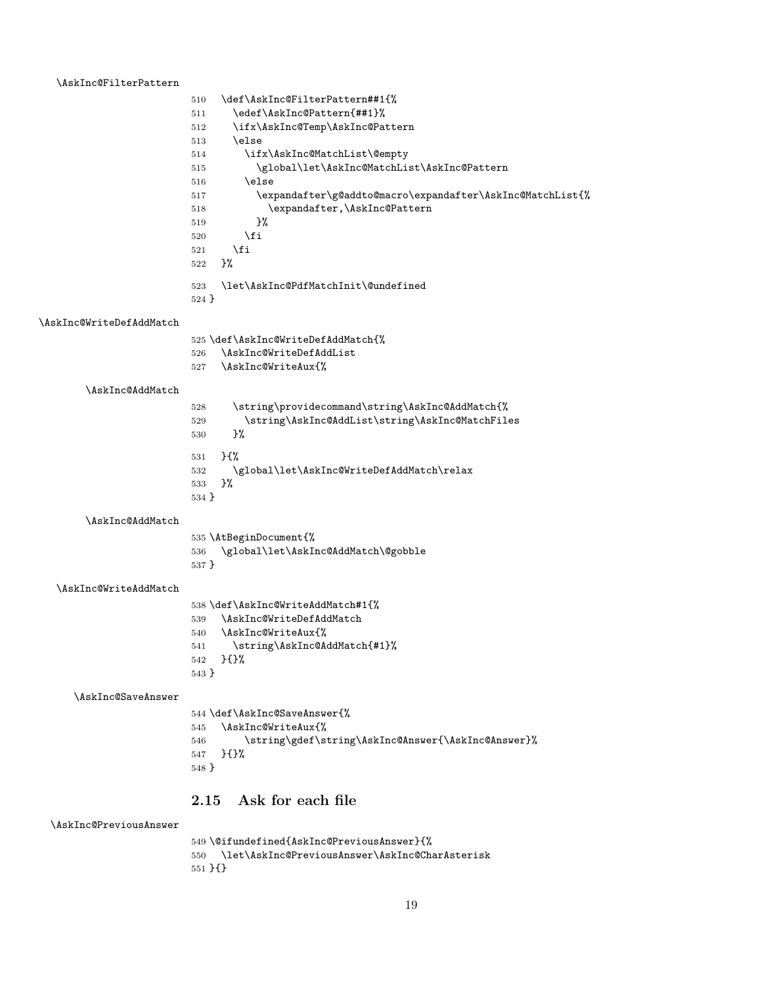#### <span id="page-18-11"></span>\AskInc@FilterPattern

<span id="page-18-16"></span><span id="page-18-15"></span><span id="page-18-14"></span><span id="page-18-13"></span><span id="page-18-12"></span><span id="page-18-1"></span>

| \def\AskInc@FilterPattern##1{%                            |
|-----------------------------------------------------------|
| \edef\AskInc@Pattern{##1}%                                |
| \ifx\AskInc@Temp\AskInc@Pattern                           |
| \else                                                     |
| \ifx\AskInc@MatchList\@empty                              |
| \global\let\AskInc@MatchList\AskInc@Pattern               |
| \else                                                     |
| \expandafter\g@addto@macro\expandafter\AskInc@MatchList{% |
| \expandafter,\AskInc@Pattern                              |
| ጉ%                                                        |
| \fi                                                       |
| \fi                                                       |
| ጉ%                                                        |
| \let\AskInc@PdfMatchInit\@undefined<br>$524$ }            |
|                                                           |

#### <span id="page-18-24"></span>\AskInc@WriteDefAddMatch

<span id="page-18-27"></span><span id="page-18-23"></span><span id="page-18-20"></span><span id="page-18-5"></span><span id="page-18-4"></span>

|         | 525 \def\AskInc@WriteDefAddMatch{%              |
|---------|-------------------------------------------------|
| 526     | \AskInc@WriteDefAddList                         |
| 527     | \AskInc@WriteAux{%                              |
|         |                                                 |
| 528     | \string\providecommand\string\AskInc@AddMatch{% |
| 529     | \string\AskInc@AddList\string\AskInc@MatchFiles |
| 530     | ጉ%                                              |
| 531     | $H^{\prime\prime}$                              |
| 532     | \global\let\AskInc@WriteDefAddMatch\relax       |
| 533     | ጉ%                                              |
| $534$ } |                                                 |
|         |                                                 |

<span id="page-18-7"></span>\AskInc@AddMatch

<span id="page-18-6"></span>\AskInc@AddMatch

<span id="page-18-26"></span><span id="page-18-2"></span>

|         | 535 \AtBeginDocument{%              |
|---------|-------------------------------------|
| 536     | \global\let\AskInc@AddMatch\@gobble |
| $537$ } |                                     |

#### <span id="page-18-19"></span>\AskInc@WriteAddMatch

<span id="page-18-25"></span><span id="page-18-21"></span><span id="page-18-8"></span>

|         | 538 \def\AskInc@WriteAddMatch#1{% |
|---------|-----------------------------------|
| 539     | \AskInc@WriteDefAddMatch          |
| 540     | \AskInc@WriteAux{%                |
| 541     | \string\AskInc@AddMatch{#1}%      |
| 542     | ን የአል                             |
| $543$ } |                                   |

<span id="page-18-18"></span>\AskInc@SaveAnswer

<span id="page-18-22"></span><span id="page-18-9"></span>

|         | 544 \def\AskInc@SaveAnswer{%                       |
|---------|----------------------------------------------------|
|         | 545 \AskInc@WriteAux{%                             |
| 546 —   | \string\gdef\string\AskInc@Answer{\AskInc@Answer}% |
| 547     | ጉ ናጉ%                                              |
| $548$ } |                                                    |
|         |                                                    |

## <span id="page-18-0"></span>**2.15 Ask for each file**

#### <span id="page-18-17"></span>\AskInc@PreviousAnswer

```
549 \@ifundefined{AskInc@PreviousAnswer}{%
550 \let\AskInc@PreviousAnswer\AskInc@CharAsterisk
551 }{}
```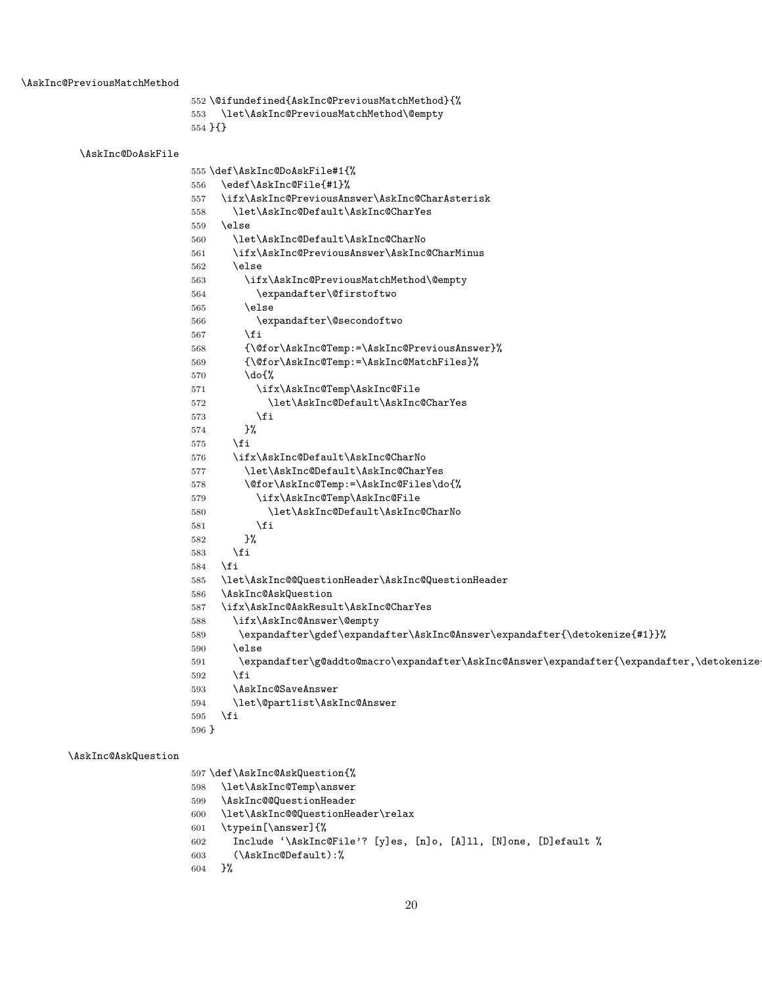```
552 \@ifundefined{AskInc@PreviousMatchMethod}{%
553 \let\AskInc@PreviousMatchMethod\@empty
```

```
554 }{}
```

```
\AskInc@DoAskFile
                   555 \def\AskInc@DoAskFile#1{%
                   556 \edef\AskInc@File{#1}%
                   557 \ifx\AskInc@PreviousAnswer\AskInc@CharAsterisk
                   558 \let\AskInc@Default\AskInc@CharYes
                   559 \else
                   560 \let\AskInc@Default\AskInc@CharNo
                   561 \ifx\AskInc@PreviousAnswer\AskInc@CharMinus
                   562 \else
                   563 \ifx\AskInc@PreviousMatchMethod\@empty
                   564 \expandafter\@firstoftwo
                   565 \else
                   566 \expandafter\@secondoftwo
                   567 \fi
                   568 {\@for\AskInc@Temp:=\AskInc@PreviousAnswer}%
                   569 {\@for\AskInc@Temp:=\AskInc@MatchFiles}%
                   570 \do{%
                   571 \ifx\AskInc@Temp\AskInc@File
                   572 \let\AskInc@Default\AskInc@CharYes
                   573 \fi
                   574 }%
                   575 \fi
                   576 \ifx\AskInc@Default\AskInc@CharNo
                   577 \let\AskInc@Default\AskInc@CharYes
                   578 \@for\AskInc@Temp:=\AskInc@Files\do{%
                   579 \ifx\AskInc@Temp\AskInc@File
                   580 \let\AskInc@Default\AskInc@CharNo
                   581 \overline{\phantom{a}} \qquad \qquad \text{if}582 }%
                   583 \fi
                   584 \fi
                   585 \let\AskInc@@QuestionHeader\AskInc@QuestionHeader
                   586 \AskInc@AskQuestion
                   587 \ifx\AskInc@AskResult\AskInc@CharYes
                   588 \ifx\AskInc@Answer\@empty
                   589 \expandafter\gdef\expandafter\AskInc@Answer\expandafter{\detokenize{#1}}%
                   590 \else
                   591 \expandafter\g@addto@macro\expandafter\AskInc@Answer\expandafter{\expandafter,\detokenize
                   592 \fi
                   593 \AskInc@SaveAnswer
                   594 \let\@partlist\AskInc@Answer
                   595 \fi
                   596 }
\AskInc@AskQuestion
                   597 \def\AskInc@AskQuestion{%
                   598 \let\AskInc@Temp\answer
```
- <span id="page-19-35"></span><span id="page-19-32"></span><span id="page-19-27"></span><span id="page-19-24"></span><span id="page-19-19"></span><span id="page-19-18"></span><span id="page-19-17"></span><span id="page-19-16"></span><span id="page-19-15"></span><span id="page-19-13"></span><span id="page-19-12"></span><span id="page-19-10"></span><span id="page-19-8"></span><span id="page-19-6"></span><span id="page-19-2"></span>\AskInc@@QuestionHeader
- <span id="page-19-14"></span>\let\AskInc@@QuestionHeader\relax
- <span id="page-19-11"></span>\typein[\answer]{%

```
602 Include '\AskInc@File'? [y]es, [n]o, [A]ll, [N]one, [D]efault %
```

```
603 (\AskInc@Default):%
```

```
604 }%
```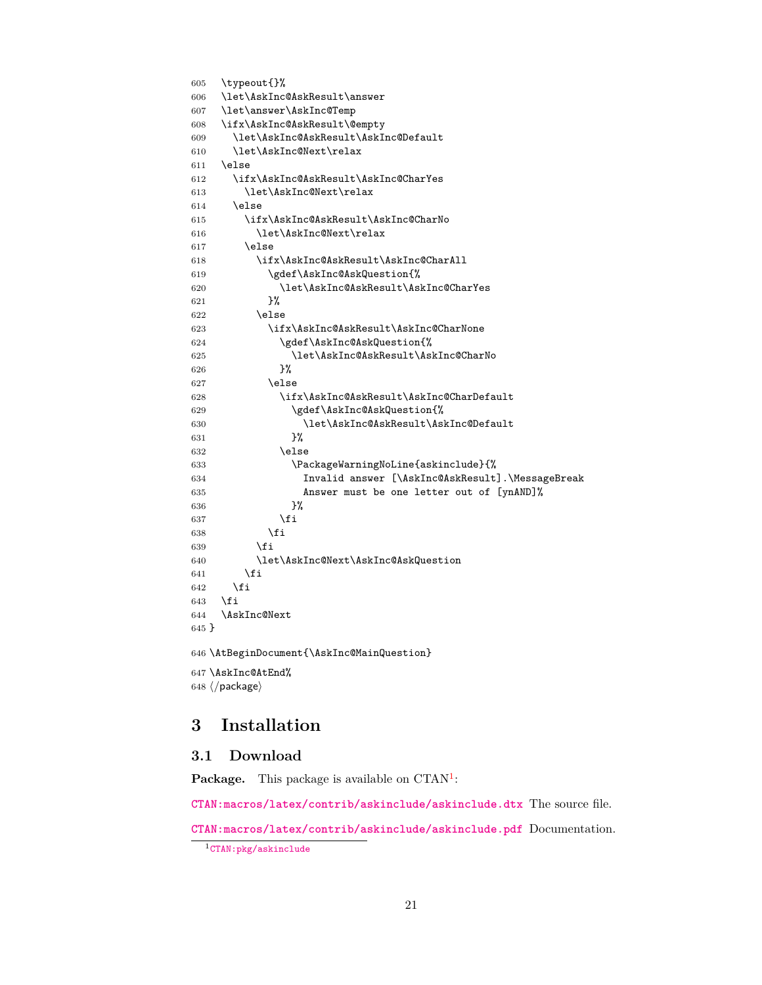```
605 \typeout{}%
606 \let\AskInc@AskResult\answer
607 \let\answer\AskInc@Temp
608 \ifx\AskInc@AskResult\@empty
609 \let\AskInc@AskResult\AskInc@Default
610 \let\AskInc@Next\relax
611 \else
612 \ifx\AskInc@AskResult\AskInc@CharYes
613 \let\AskInc@Next\relax
614 \else
615 \ifx\AskInc@AskResult\AskInc@CharNo
616 \let\AskInc@Next\relax
617 \else
618 \ifx\AskInc@AskResult\AskInc@CharAll
619 \gdef\AskInc@AskQuestion{%
620 \let\AskInc@AskResult\AskInc@CharYes
621 }%
622 \else
623 \ifx\AskInc@AskResult\AskInc@CharNone
624 \gdef\AskInc@AskQuestion{%
625 \let\AskInc@AskResult\AskInc@CharNo
626 }%
627 \else
628 \ifx\AskInc@AskResult\AskInc@CharDefault
629 \gdef\AskInc@AskQuestion{%
630 \let\AskInc@AskResult\AskInc@Default
631 }%
632 \else
633 \PackageWarningNoLine{askinclude}{%
634 Invalid answer [\AskInc@AskResult].\MessageBreak
635 Answer must be one letter out of [ynAND]%
636 }%
637 \fi
638 \setminusfi
639 \setminusfi
640 \let\AskInc@Next\AskInc@AskQuestion
641 \fi
642 \fi
643 \fi
644 \AskInc@Next
645 }
646 \AtBeginDocument{\AskInc@MainQuestion}
647 \AskInc@AtEnd%
648 \langle/package\rangle
```
## <span id="page-20-26"></span><span id="page-20-25"></span><span id="page-20-22"></span><span id="page-20-21"></span><span id="page-20-17"></span><span id="page-20-16"></span><span id="page-20-15"></span><span id="page-20-14"></span><span id="page-20-0"></span>**3 Installation**

#### <span id="page-20-1"></span>**3.1 Download**

Package. This package is available on CTAN<sup>[1](#page-20-2)</sup>:

**[CTAN:macros/latex/contrib/askinclude/askinclude.dtx](https://ctan.org/tex-archive/macros/latex/contrib/askinclude/askinclude.dtx)** The source file.

**[CTAN:macros/latex/contrib/askinclude/askinclude.pdf](https://ctan.org/tex-archive/macros/latex/contrib/askinclude/askinclude.pdf)** Documentation.

<span id="page-20-2"></span>[CTAN:pkg/askinclude](http://ctan.org/pkg/askinclude)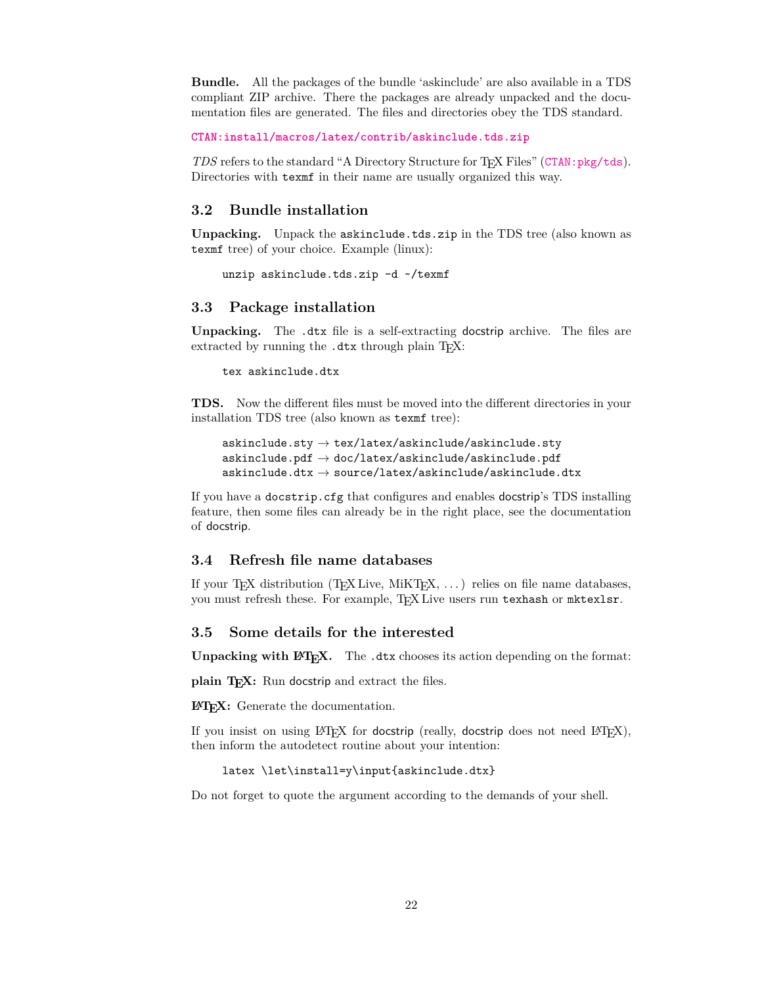**Bundle.** All the packages of the bundle 'askinclude' are also available in a TDS compliant ZIP archive. There the packages are already unpacked and the documentation files are generated. The files and directories obey the TDS standard.

**[CTAN:install/macros/latex/contrib/askinclude.tds.zip](http://mirrors.ctan.org/install/macros/latex/contrib/askinclude.tds.zip)**

*TDS* refers to the standard "A Directory Structure for TEX Files" ([CTAN:pkg/tds](http://ctan.org/pkg/tds)). Directories with texmf in their name are usually organized this way.

#### <span id="page-21-0"></span>**3.2 Bundle installation**

**Unpacking.** Unpack the askinclude.tds.zip in the TDS tree (also known as texmf tree) of your choice. Example (linux):

unzip askinclude.tds.zip -d ~/texmf

#### <span id="page-21-1"></span>**3.3 Package installation**

**Unpacking.** The .dtx file is a self-extracting docstrip archive. The files are extracted by running the .dtx through plain T<sub>E</sub>X:

tex askinclude.dtx

**TDS.** Now the different files must be moved into the different directories in your installation TDS tree (also known as texmf tree):

```
askinclude.sty \rightarrow tex/latex/askinclude/askinclude.sty
\verb+askinclude.pdf+ \verb+plot/lastinclude/askinclude+1+ \verb+plot/askinclude.pdf+askinclude.dtx \rightarrow source/latex/askinclude/askinclude.dtx
```
If you have a docstrip.cfg that configures and enables docstrip's TDS installing feature, then some files can already be in the right place, see the documentation of docstrip.

### <span id="page-21-2"></span>**3.4 Refresh file name databases**

If your T<sub>E</sub>X distribution  $(T_F X \text{ Live}, \text{MikT}_F X, \ldots)$  relies on file name databases, you must refresh these. For example, TFX Live users run texhash or mktexlsr.

#### <span id="page-21-3"></span>**3.5 Some details for the interested**

Unpacking with L<sup>A</sup>TEX. The .dtx chooses its action depending on the format:

**plain TEX:** Run docstrip and extract the files.

**LATEX:** Generate the documentation.

If you insist on using  $L^2T_FX$  for docstrip (really, docstrip does not need  $L^2T_FX$ ), then inform the autodetect routine about your intention:

latex \let\install=y\input{askinclude.dtx}

Do not forget to quote the argument according to the demands of your shell.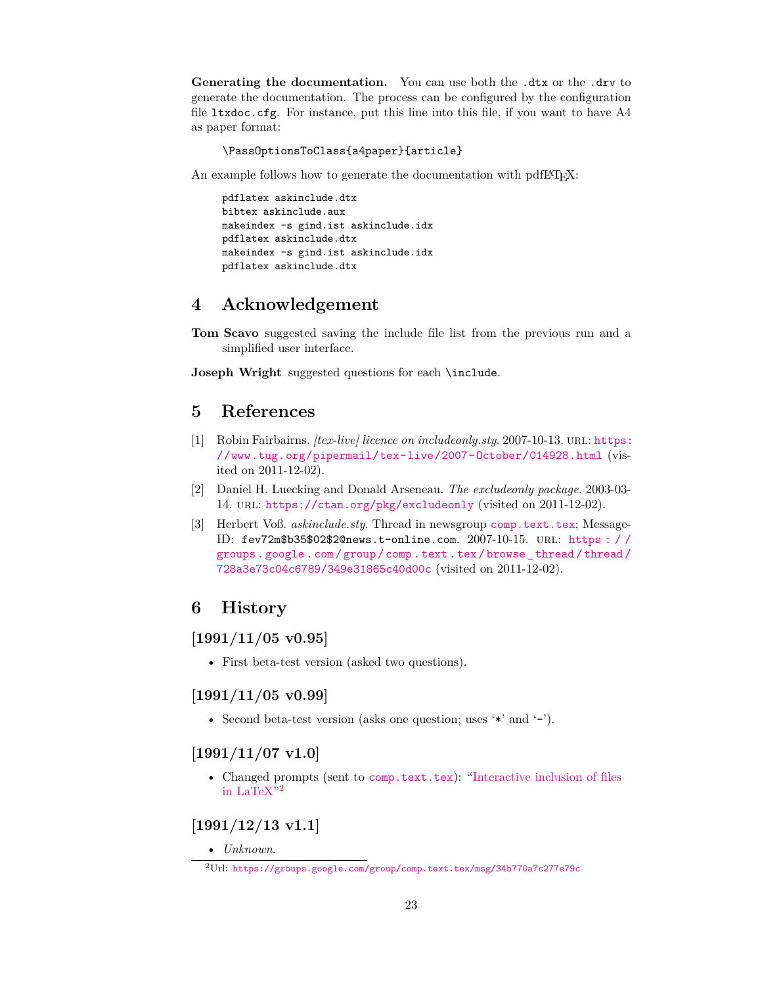Generating the documentation. You can use both the .dtx or the .drv to generate the documentation. The process can be configured by the configuration file ltxdoc.cfg. For instance, put this line into this file, if you want to have A4 as paper format:

\PassOptionsToClass{a4paper}{article}

An example follows how to generate the documentation with pdfI $\Delta T$ <sub>EX</sub>:

pdflatex askinclude.dtx bibtex askinclude.aux makeindex -s gind.ist askinclude.idx pdflatex askinclude.dtx makeindex -s gind.ist askinclude.idx pdflatex askinclude.dtx

## <span id="page-22-0"></span>**4 Acknowledgement**

**Tom Scavo** suggested saving the include file list from the previous run and a simplified user interface.

**Joseph Wright** suggested questions for each \include.

## <span id="page-22-1"></span>**5 References**

- <span id="page-22-8"></span>[1] Robin Fairbairns. *[tex-live] licence on includeonly.sty*. 2007-10-13. url: [https:](https://www.tug.org/pipermail/tex-live/2007-October/014928.html) [//www.tug.org/pipermail/tex- live/2007- October/014928.html](https://www.tug.org/pipermail/tex-live/2007-October/014928.html) (visited on 2011-12-02).
- <span id="page-22-7"></span>[2] Daniel H. Luecking and Donald Arseneau. *The excludeonly package*. 2003-03- 14. url: <https://ctan.org/pkg/excludeonly> (visited on 2011-12-02).
- <span id="page-22-9"></span>[3] Herbert Voß. *askinclude.sty*. Thread in newsgroup [comp.text.tex](news:comp.text.tex); Message-ID: fev72m\$b35\$02\$2@news.t-online.com. 2007-10-15. url: [https : / /](https://groups.google.com/group/comp.text.tex/browse_thread/thread/728a3e73c04c6789/349e31865c40d00c) [groups . google . com / group / comp . text . tex / browse \\_ thread / thread /](https://groups.google.com/group/comp.text.tex/browse_thread/thread/728a3e73c04c6789/349e31865c40d00c) [728a3e73c04c6789/349e31865c40d00c](https://groups.google.com/group/comp.text.tex/browse_thread/thread/728a3e73c04c6789/349e31865c40d00c) (visited on 2011-12-02).

## <span id="page-22-2"></span>**6 History**

## <span id="page-22-3"></span>**[1991/11/05 v0.95]**

• First beta-test version (asked two questions).

#### <span id="page-22-4"></span>**[1991/11/05 v0.99]**

• Second beta-test version (asks one question; uses '\*' and '-').

#### <span id="page-22-5"></span>**[1991/11/07 v1.0]**

• Changed prompts (sent to [comp.text.tex](news:comp.text.tex)): ["Interactive inclusion of files](https://groups.google.com/group/comp.text.tex/msg/34b770a7c277e79c) [in LaTeX"](https://groups.google.com/group/comp.text.tex/msg/34b770a7c277e79c) [2](#page-22-10)

## <span id="page-22-6"></span>**[1991/12/13 v1.1]**

• *Unknown*.

<span id="page-22-10"></span><sup>2</sup>Url: <https://groups.google.com/group/comp.text.tex/msg/34b770a7c277e79c>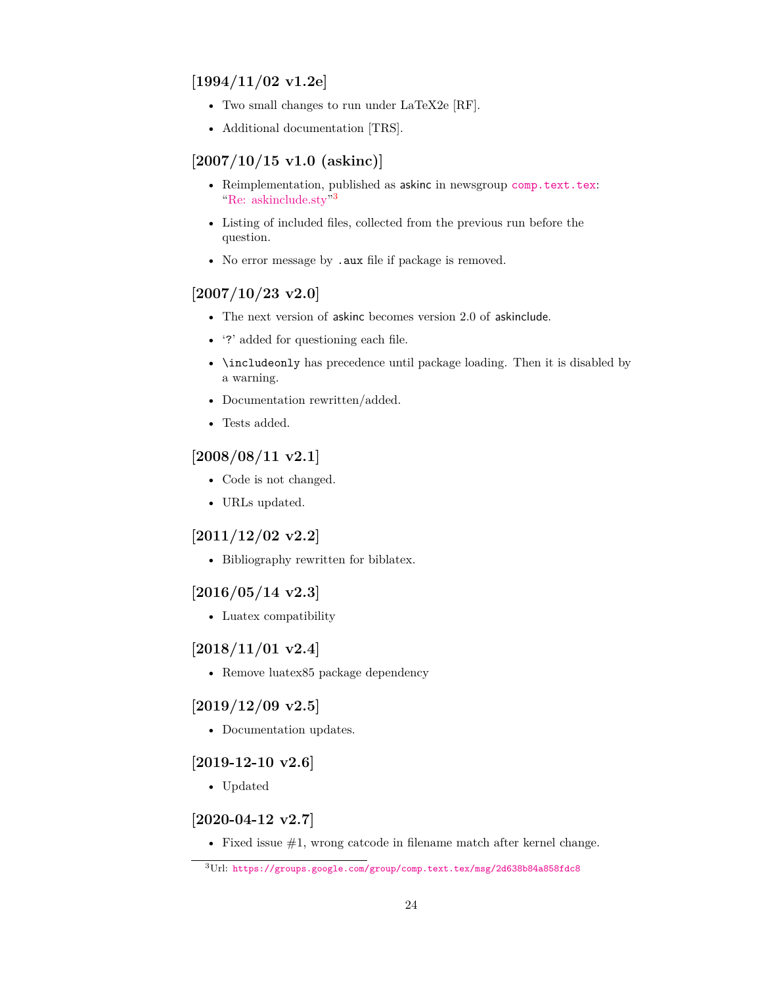## <span id="page-23-0"></span>**[1994/11/02 v1.2e]**

- Two small changes to run under LaTeX2e [RF].
- Additional documentation [TRS].

## <span id="page-23-1"></span>**[2007/10/15 v1.0 (askinc)]**

- Reimplementation, published as askinc in newsgroup [comp.text.tex](news:comp.text.tex): ["Re: askinclude.sty"](https://groups.google.com/group/comp.text.tex/msg/2d638b84a858fdc8) [3](#page-23-10)
- Listing of included files, collected from the previous run before the question.
- No error message by .aux file if package is removed.

## <span id="page-23-2"></span>**[2007/10/23 v2.0]**

- The next version of askinc becomes version 2.0 of askinclude.
- '?' added for questioning each file.
- \includeonly has precedence until package loading. Then it is disabled by a warning.
- Documentation rewritten/added.
- Tests added.

## <span id="page-23-3"></span>**[2008/08/11 v2.1]**

- Code is not changed.
- URLs updated.

## <span id="page-23-4"></span>**[2011/12/02 v2.2]**

• Bibliography rewritten for biblatex.

## <span id="page-23-5"></span>**[2016/05/14 v2.3]**

• Luatex compatibility

## <span id="page-23-6"></span>**[2018/11/01 v2.4]**

• Remove luatex85 package dependency

## <span id="page-23-7"></span>**[2019/12/09 v2.5]**

• Documentation updates.

## <span id="page-23-8"></span>**[2019-12-10 v2.6]**

• Updated

## <span id="page-23-9"></span>**[2020-04-12 v2.7]**

• Fixed issue  $#1$ , wrong catcode in filename match after kernel change.

<span id="page-23-10"></span> $3$ Url: <https://groups.google.com/group/comp.text.tex/msg/2d638b84a858fdc8>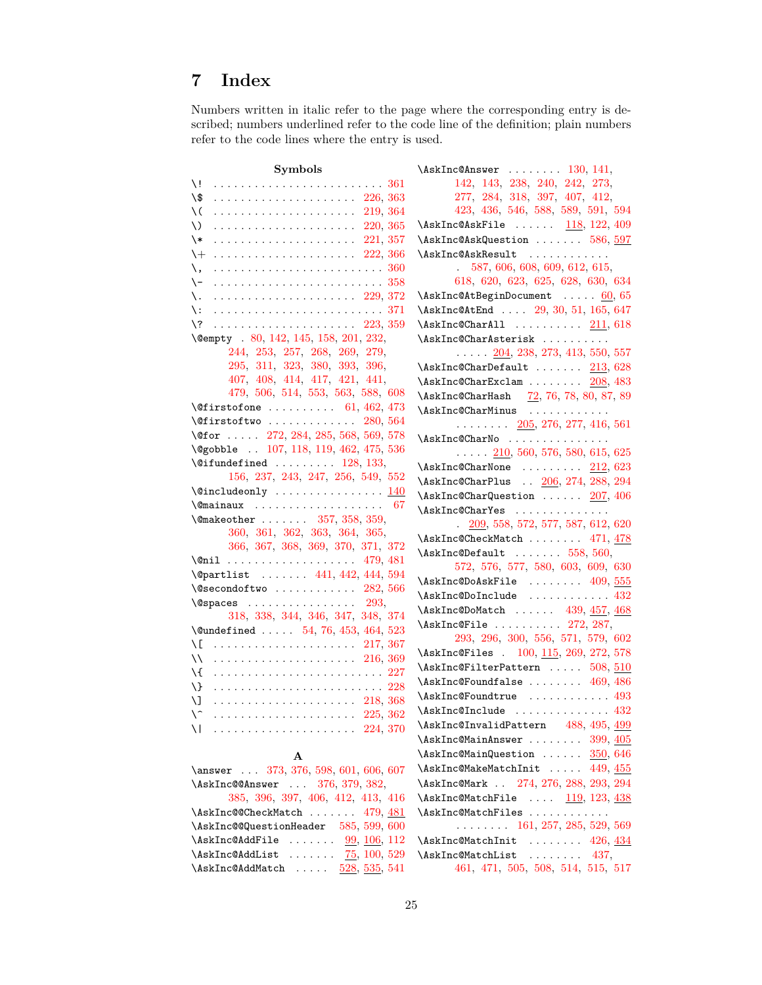## <span id="page-24-0"></span>**7 Index**

Numbers written in italic refer to the page where the corresponding entry is described; numbers underlined refer to the code line of the definition; plain numbers refer to the code lines where the entry is used.

| Symbols                                                                                           | $\Lambda$ skInc@Answer  130, 141,                     |
|---------------------------------------------------------------------------------------------------|-------------------------------------------------------|
| \!  361                                                                                           | 142, 143, 238, 240, 242, 273,                         |
|                                                                                                   | 277, 284, 318, 397, 407, 412,                         |
| \(                                                                                                | 423, 436, 546, 588, 589, 591, 594                     |
| \)                                                                                                | $\Lambda$ skInc@AskFile $118, 122, 409$               |
| $\setminus *$                                                                                     | \AskInc@AskQuestion  586, 597                         |
| $+$                                                                                               | \AskInc@AskResult                                     |
| \,                                                                                                | 587, 606, 608, 609, 612, 615,<br>$\ddot{\phantom{0}}$ |
| \-                                                                                                | 618, 620, 623, 625, 628, 630, 634                     |
| \.                                                                                                | $\Lambda$ skInc@AtBeginDocument  60, 65               |
| $\setminus$ :                                                                                     | \AskInc@AtEnd  29, 30, 51, 165, 647                   |
|                                                                                                   | $\Lambda$ skInc@CharAll $211,618$                     |
| \@empty . 80, 142, 145, 158, 201, 232,                                                            | \AskInc@CharAsterisk                                  |
| 244, 253, 257, 268, 269, 279,                                                                     | $\ldots$ $\ldots$ 204, 238, 273, 413, 550, 557        |
| 295, 311, 323, 380, 393, 396,                                                                     | $\Lambda$ skInc@CharDefault $213,628$                 |
| 407, 408, 414, 417, 421, 441,                                                                     | \AskInc@CharExclam  208, 483                          |
| 479, 506, 514, 553, 563, 588, 608                                                                 | \AskInc@CharHash 72, 76, 78, 80, 87, 89               |
| $\setminus$ @firstofone  61, 462, 473                                                             | \AskInc@CharMinus                                     |
| $\sqrt{0}$ firstoftwo  280, 564                                                                   | $\ldots \ldots \ldots$ 205, 276, 277, 416, 561        |
| \@for $\ldots$ 272, 284, 285, 568, 569, 578                                                       | \AskInc@CharNo                                        |
| \@gobble  107, 118, 119, 462, 475, 536                                                            | $\ldots$ $\ldots$ 210, 560, 576, 580, 615, 625        |
| $\setminus$ @ifundefined  128, 133,                                                               | $\Lambda$ skInc@CharNone $212,623$                    |
| 156, 237, 243, 247, 256, 549, 552                                                                 | \AskInc@CharPlus  206, 274, 288, 294                  |
|                                                                                                   | \AskInc@CharQuestion  207, 406                        |
| $\{\mathbb{O}$ mainaux  67                                                                        | \AskInc@CharYes                                       |
| $\{\text{Omakeother } \dots \dots \quad 357, 358, 359, \dots \}$<br>360, 361, 362, 363, 364, 365, | $. \quad 209, 558, 572, 577, 587, 612, 620$           |
| 366, 367, 368, 369, 370, 371, 372                                                                 | \AskInc@CheckMatch  471, 478                          |
| \@nil  479,481                                                                                    | $\Lambda$ skInc@Default  558, 560,                    |
| \@partlist  441, 442, 444, 594                                                                    | 572, 576, 577, 580, 603, 609, 630                     |
| $\text{\textbackslash} \mathbb{Q}$ secondoftwo $\ldots \ldots \ldots \ldots \ 282, \, 566$        | $\Lambda$ skInc@DoAskFile  409, 555                   |
| $\texttt{\textbackslash@spaces} \dots \dots \dots \dots \dots \ 293,$                             | \AskInc@DoInclude  432                                |
| 318, 338, 344, 346, 347, 348, 374                                                                 | \AskInc@DoMatch  439, 457, 468                        |
| $\text{Qundefined} \dots \dots \quad 54, 76, 453, 464, 523$                                       | $\Lambda$ skInc@File  272, 287,                       |
| \[  217, 367                                                                                      | 293, 296, 300, 556, 571, 579, 602                     |
| 11      216, 369                                                                                  | \AskInc@Files . 100, 115, 269, 272, 578               |
|                                                                                                   | \AskInc@FilterPattern  508, 510                       |
| $\setminus$                                                                                       | $\Lambda$ skInc@Foundfalse  469, 486                  |
| \] _                                                                                              | \AskInc@Foundtrue  493                                |
|                                                                                                   | \AskInc@Include  432                                  |
| \   224, 370                                                                                      | \AskInc@InvalidPattern 488, 495, 499                  |
|                                                                                                   | $\lambda$ sk <code>Inc@MainAnswer</code> $399, 405$   |
| A                                                                                                 | $\Lambda$ skInc@MainQuestion  350, 646                |
| \answer  373, 376, 598, 601, 606, 607                                                             | $\Lambda$ skInc@MakeMatchInit  449, 455               |
| \AskInc@@Answer  376, 379, 382,                                                                   | \AskInc@Mark  274, 276, 288, 293, 294                 |
| 385, 396, 397, 406, 412, 413, 416                                                                 | $\Lambda$ skInc@MatchFile $119, 123, 438$             |
| \AskInc@@CheckMatch  479, 481                                                                     | \AskInc@MatchFiles                                    |
| \AskInc@@QuestionHeader 585, 599, 600                                                             | $\ldots \ldots \ldots 161, 257, 285, 529, 569$        |
| $\lambda$ skInc@AddFile $99, 106, 112$                                                            | $\Lambda$ skInc@MatchInit  426, 434                   |
| $\Lambda$ skInc@AddList $75, 100, 529$                                                            | \AskInc@MatchList  437,                               |
| $\lambda$ skInc@AddMatch $528, 535, 541$                                                          | 461, 471, 505, 508, 514, 515, 517                     |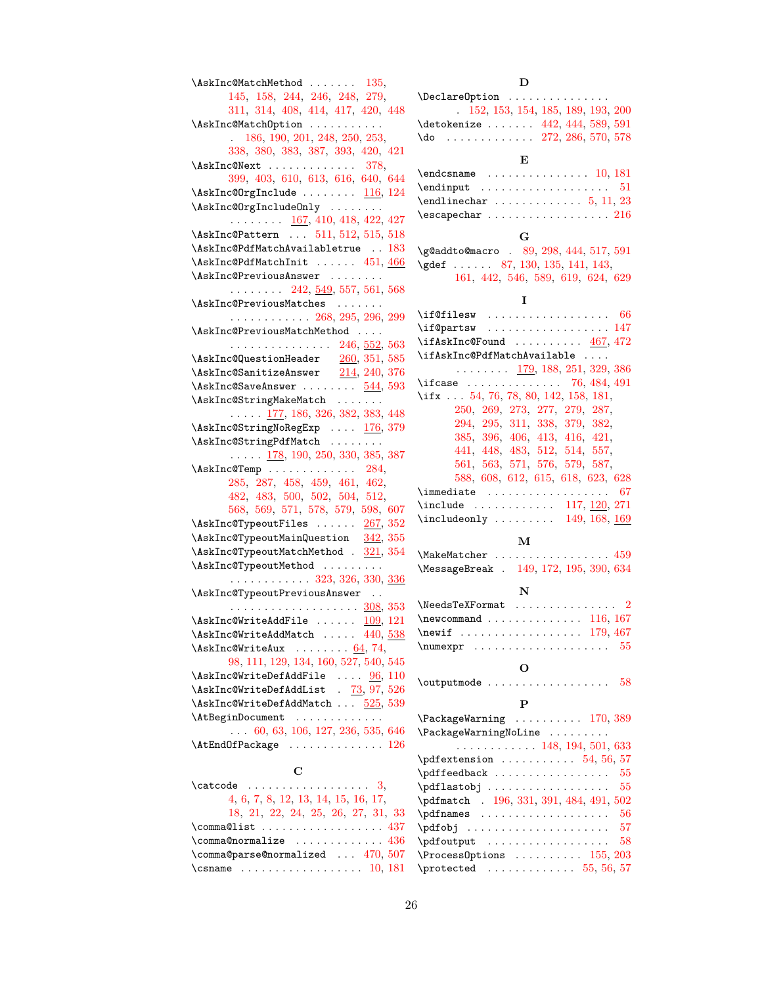| \AskInc@MatchMethod  135,<br>145, 158, 244, 246, 248, 279,                                                                                                                                                                                                                                                                                                                                                                                                                                           |
|------------------------------------------------------------------------------------------------------------------------------------------------------------------------------------------------------------------------------------------------------------------------------------------------------------------------------------------------------------------------------------------------------------------------------------------------------------------------------------------------------|
| 311, 314, 408, 414, 417, 420, 448                                                                                                                                                                                                                                                                                                                                                                                                                                                                    |
| \AskInc@MatchOption                                                                                                                                                                                                                                                                                                                                                                                                                                                                                  |
| 186, 190, 201, 248, 250, 253,                                                                                                                                                                                                                                                                                                                                                                                                                                                                        |
| 338, 380, 383, 387, 393, 420, 421                                                                                                                                                                                                                                                                                                                                                                                                                                                                    |
| $\Lambda$ skInc@Next  378,                                                                                                                                                                                                                                                                                                                                                                                                                                                                           |
| 399, 403, 610, 613, 616, 640, 644                                                                                                                                                                                                                                                                                                                                                                                                                                                                    |
| $\Lambda s$ kInc@OrgInclude  116, 124                                                                                                                                                                                                                                                                                                                                                                                                                                                                |
| \AskInc@OrgIncludeOnly                                                                                                                                                                                                                                                                                                                                                                                                                                                                               |
|                                                                                                                                                                                                                                                                                                                                                                                                                                                                                                      |
| $\ldots \ldots \ldots$ 167, 410, 418, 422, 427                                                                                                                                                                                                                                                                                                                                                                                                                                                       |
| \AskInc@Pattern  511, 512, 515, 518                                                                                                                                                                                                                                                                                                                                                                                                                                                                  |
| $\verb \AskInc@PdfMatchAvailabletrue   183 $                                                                                                                                                                                                                                                                                                                                                                                                                                                         |
| \AskInc@PdfMatchInit  451, 466                                                                                                                                                                                                                                                                                                                                                                                                                                                                       |
| \AskInc@PreviousAnswer                                                                                                                                                                                                                                                                                                                                                                                                                                                                               |
| $\ldots \ldots \ldots$ 242, 549, 557, 561, 568                                                                                                                                                                                                                                                                                                                                                                                                                                                       |
| \AskInc@PreviousMatches                                                                                                                                                                                                                                                                                                                                                                                                                                                                              |
| $\cdots \cdots \cdots \cdots 268, 295, 296, 299$                                                                                                                                                                                                                                                                                                                                                                                                                                                     |
| \AskInc@PreviousMatchMethod                                                                                                                                                                                                                                                                                                                                                                                                                                                                          |
|                                                                                                                                                                                                                                                                                                                                                                                                                                                                                                      |
|                                                                                                                                                                                                                                                                                                                                                                                                                                                                                                      |
| $246, 552, 563$<br>\AskInc@QuestionHeader $260, 351, 585$<br>\AskInc@SanitizeAnswer $214, 240, 376$                                                                                                                                                                                                                                                                                                                                                                                                  |
| $\Lambda$ skInc@SaveAnswer  544, 593                                                                                                                                                                                                                                                                                                                                                                                                                                                                 |
| \AskInc@StringMakeMatch                                                                                                                                                                                                                                                                                                                                                                                                                                                                              |
| $\ldots$ $\frac{177}{172}$ , 186, 326, 382, 383, 448                                                                                                                                                                                                                                                                                                                                                                                                                                                 |
| $\verb \AskInc@StringNoRegExp  \underline{176}, 379 $                                                                                                                                                                                                                                                                                                                                                                                                                                                |
| \AskInc@StringPdfMatch                                                                                                                                                                                                                                                                                                                                                                                                                                                                               |
|                                                                                                                                                                                                                                                                                                                                                                                                                                                                                                      |
| $\ldots$ $\ldots$ 178, 190, 250, 330, 385, 387                                                                                                                                                                                                                                                                                                                                                                                                                                                       |
| $\lambda$ skInc@Temp  284,                                                                                                                                                                                                                                                                                                                                                                                                                                                                           |
| 285, 287, 458, 459, 461, 462,                                                                                                                                                                                                                                                                                                                                                                                                                                                                        |
| 482, 483, 500, 502, 504, 512,                                                                                                                                                                                                                                                                                                                                                                                                                                                                        |
| 568, 569, 571, 578, 579, 598, 607                                                                                                                                                                                                                                                                                                                                                                                                                                                                    |
| $\lambda$ skInc@TypeoutFiles $267, 352$                                                                                                                                                                                                                                                                                                                                                                                                                                                              |
| $\label{thm:main} \begin{minipage}[c]{0.9\textwidth} \begin{minipage}[c]{0.9\textwidth} \begin{minipage}[c]{0.9\textwidth} \begin{minipage}[c]{0.9\textwidth} \begin{minipage}[c]{0.9\textwidth} \begin{minipage}[c]{0.9\textwidth} \begin{minipage}[c]{0.9\textwidth} \begin{minipage}[c]{0.9\textwidth} \begin{minipage}[c]{0.9\textwidth} \begin{minipage}[c]{0.9\textwidth} \begin{minipage}[c]{0.9\textwidth} \begin{minipage}[c]{0.9\textwidth} \begin{minipage}[c]{0.9\textwidth} \begin{min$ |
|                                                                                                                                                                                                                                                                                                                                                                                                                                                                                                      |
| \AskInc@TypeoutMethod                                                                                                                                                                                                                                                                                                                                                                                                                                                                                |
| $\cdots$ 323, 326, 330, <u>336</u>                                                                                                                                                                                                                                                                                                                                                                                                                                                                   |
| \AskInc@TypeoutPreviousAnswer                                                                                                                                                                                                                                                                                                                                                                                                                                                                        |
|                                                                                                                                                                                                                                                                                                                                                                                                                                                                                                      |
| $\Lambda$ skInc@WriteAddFile  109, 121                                                                                                                                                                                                                                                                                                                                                                                                                                                               |
| $\lambda$ skInc@WriteAddMatch  440, 538                                                                                                                                                                                                                                                                                                                                                                                                                                                              |
| $\Lambda$ skInc@WriteAux  64, 74,                                                                                                                                                                                                                                                                                                                                                                                                                                                                    |
| 98, 111, 129, 134, 160, 527, 540, 545                                                                                                                                                                                                                                                                                                                                                                                                                                                                |
| $\Lambda$ skInc@WriteDefAddFile $96, 110$                                                                                                                                                                                                                                                                                                                                                                                                                                                            |
| \AskInc@WriteDefAddList . 73, 97, 526                                                                                                                                                                                                                                                                                                                                                                                                                                                                |
| \AskInc@WriteDefAddMatch  525, 539                                                                                                                                                                                                                                                                                                                                                                                                                                                                   |
|                                                                                                                                                                                                                                                                                                                                                                                                                                                                                                      |
|                                                                                                                                                                                                                                                                                                                                                                                                                                                                                                      |
|                                                                                                                                                                                                                                                                                                                                                                                                                                                                                                      |
| $\texttt{AtEndOfPackage} \dots \dots \dots \dots \dots 126$                                                                                                                                                                                                                                                                                                                                                                                                                                          |
| $\mathbf C$                                                                                                                                                                                                                                                                                                                                                                                                                                                                                          |
| $\text{2}$ , $\text{2}$                                                                                                                                                                                                                                                                                                                                                                                                                                                                              |
| 4, 6, 7, 8, 12, 13, 14, 15, 16, 17,                                                                                                                                                                                                                                                                                                                                                                                                                                                                  |
| 18, 21, 22, 24, 25, 26, 27, 31, 33                                                                                                                                                                                                                                                                                                                                                                                                                                                                   |
| $\mathrm{Comma@list} \dots \dots \dots \dots \dots \ 437$                                                                                                                                                                                                                                                                                                                                                                                                                                            |
|                                                                                                                                                                                                                                                                                                                                                                                                                                                                                                      |

 $\Gamma$ <sup>36</sup> \comma@parse@normalized . . . [470,](#page-17-24) [507](#page-17-25)

#### **D**

| \DeclareOption                  |                                   |
|---------------------------------|-----------------------------------|
|                                 | 152, 153, 154, 185, 189, 193, 200 |
| \detokenize  442, 444, 589, 591 |                                   |
| $\{do$ 272, 286, 570, 578       |                                   |
|                                 |                                   |

#### **E**

| $\end{$                      |  |  |  |  |  |  |  |  |  |  |
|------------------------------|--|--|--|--|--|--|--|--|--|--|
| $\end{line}$ char  5, 11, 23 |  |  |  |  |  |  |  |  |  |  |
|                              |  |  |  |  |  |  |  |  |  |  |

#### **G**

| \g@addto@macro . 89, 298, 444, 517, 591 |  |  |  |
|-----------------------------------------|--|--|--|
| \gdef  87, 130, 135, 141, 143,          |  |  |  |
| 161, 442, 546, 589, 619, 624, 629       |  |  |  |

#### **I**

 $\left\{\text{if}$ Cfilesw . . . . . . . . . . . . . . . . . . [66](#page-7-15) \if@partsw . . . . . . . . . . . . . . . . . [147](#page-9-26)  $\ifmmode\big\}\$ \ifAskInc@PdfMatchAvailable . . . . . . . . . . . . [179,](#page-10-18) [188,](#page-10-19) [251,](#page-12-29) [329,](#page-14-25) [386](#page-15-37) \ifcase ............. [76,](#page-8-2) [484,](#page-17-28) [491](#page-17-29) \ifx . . . [54,](#page-7-5) [76,](#page-8-2) [78,](#page-8-8) [80,](#page-8-0) [142,](#page-9-4) [158,](#page-10-2) [181,](#page-10-13) [250,](#page-12-26) [269,](#page-13-3) [273,](#page-13-13) [277,](#page-13-14) [279,](#page-13-4) [287,](#page-13-19) [294,](#page-13-18) [295,](#page-13-5) [311,](#page-13-6) [338,](#page-14-9) [379,](#page-15-22) [382,](#page-15-23) [385,](#page-15-24) [396,](#page-15-10) [406,](#page-15-26) [413,](#page-15-28) [416,](#page-16-7) [421,](#page-16-1) [441,](#page-16-2) [448,](#page-16-21) [483,](#page-17-7) [512,](#page-18-15) [514,](#page-18-1) [557,](#page-19-20) [561,](#page-19-21) [563,](#page-19-1) [571,](#page-19-31) [576,](#page-19-23) [579,](#page-19-32) [587,](#page-19-19) [588,](#page-19-2) [608,](#page-20-3) [612,](#page-20-7) [615,](#page-20-8) [618,](#page-20-9) [623,](#page-20-11) [628](#page-20-13)  $\{immediate \ldots \ldots \ldots \ldots \ 67\}$  $\{immediate \ldots \ldots \ldots \ldots \ 67\}$  $\{immediate \ldots \ldots \ldots \ldots \ 67\}$ \include . . . . . . . . . . . [117,](#page-9-27) [120,](#page-9-28) [271](#page-13-28)  $\infty$ lincludeonly . . . . . . . . [149,](#page-9-29) [168,](#page-10-20) [169](#page-10-21) **M** \MakeMatcher . . . . . . . . . . . . . . . . . [459](#page-16-27) \MessageBreak . [149,](#page-9-29) [172,](#page-10-22) [195,](#page-11-21) [390,](#page-15-38) [634](#page-20-15) **N**  $\label{thm:1} \texttt{\texttt{NeedsTeXFormat}} \quad \ldots \; \ldots \; \ldots \; \ldots \; \; 2$  $\label{thm:1} \texttt{\texttt{NeedsTeXFormat}} \quad \ldots \; \ldots \; \ldots \; \ldots \; \; 2$ \newcommand . . . . . . . . . . . . . . [116,](#page-9-30) [167](#page-10-23) \newif . . . . . . . . . . . . . . . . . [179,](#page-10-24) [467](#page-17-30)  $\text{numexpr} \dots$ **O**  $\lvert \text{output} \rvert$  . . . . . . . . . . . . . . . . . . [58](#page-7-17) **P** \PackageWarning . . . . . . . . . . [170,](#page-10-25) [389](#page-15-39) \PackageWarningNoLine . . . . . . . . . . . . . . . . . . . . . [148,](#page-9-31) [194,](#page-11-22) [501,](#page-17-31) [633](#page-20-26)  $\qquad \qquad \ldots \ldots \qquad 54, 56, 57$  $\qquad \qquad \ldots \ldots \qquad 54, 56, 57$  $\qquad \qquad \ldots \ldots \qquad 54, 56, 57$  $\qquad \qquad \ldots \ldots \qquad 54, 56, 57$  $\qquad \qquad \ldots \ldots \qquad 54, 56, 57$  $\qquad \qquad \ldots \ldots \qquad 54, 56, 57$  $\qquad \qquad \ldots \ldots \ldots \qquad 55$  $\qquad \qquad \ldots \ldots \ldots \qquad 55$  $\qquad$ \pdfmatch . [196,](#page-11-23) [331,](#page-14-26) [391,](#page-15-40) [484,](#page-17-28) [491,](#page-17-29) [502](#page-17-22)  $\qquad \qquad \ldots \ldots \ldots \qquad 56$  $\qquad \qquad \ldots \ldots \ldots \qquad 56$ \pdfobj . . . . . . . . . . . . . . . . . . . . . [57](#page-7-19)  $\qquad$ \ProcessOptions . . . . . . . . . . [155,](#page-10-26) [203](#page-11-24)

\csname . . . . . . . . . . . . . . . . . [10,](#page-6-25) [181](#page-10-13) \protected . . . . . . . . . . . . . [55,](#page-7-16) [56,](#page-7-18) [57](#page-7-19)